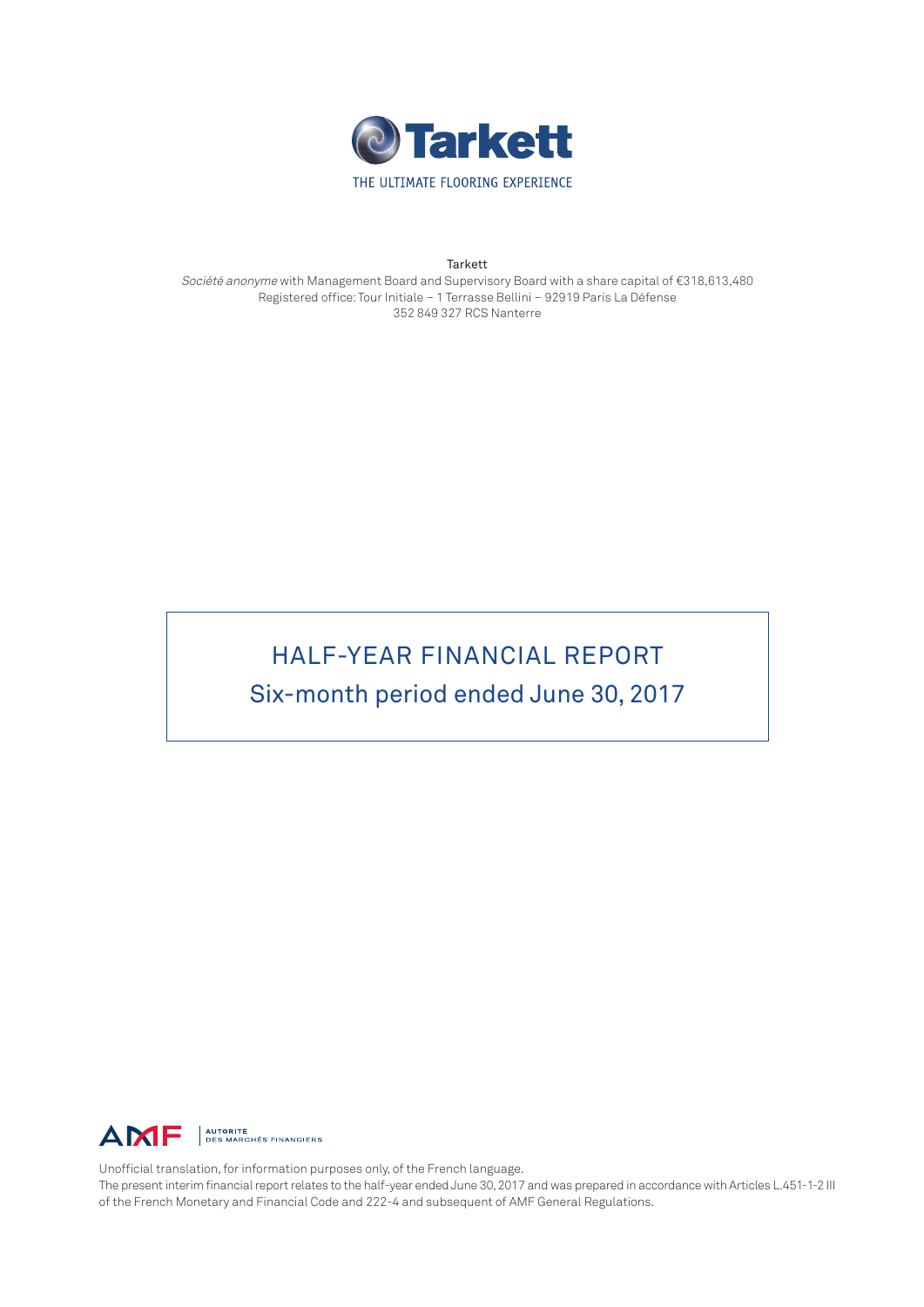

**Tarkett** 

Société anonyme with Management Board and Supervisory Board with a share capital of €318,613,480 Registered office: Tour Initiale – 1 Terrasse Bellini – 92919 Paris La Défense 352 849 327 RCS Nanterre

# HALF-YEAR FINANCIAL REPORT Six-month period ended June 30, 2017



Unofficial translation, for information purposes only, of the French language.

The present interim financial report relates to the half-year ended June 30, 2017 and was prepared in accordance with Articles L.451-1-2 III of the French Monetary and Financial Code and 222-4 and subsequent of AMF General Regulations.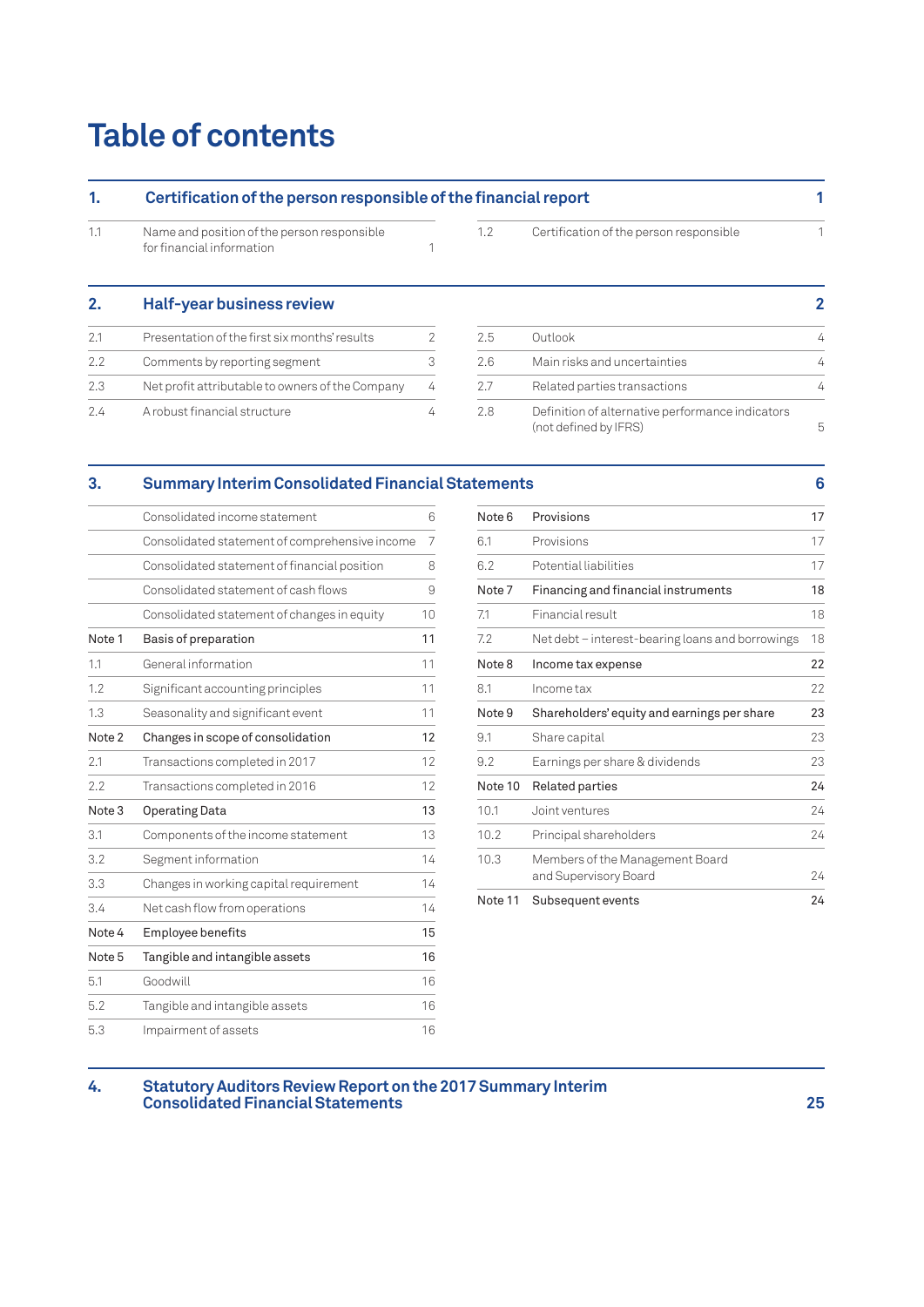# **Table of contents**

| 1.  | Certification of the person responsible of the financial report          |   |     |                                                                           |   |  |
|-----|--------------------------------------------------------------------------|---|-----|---------------------------------------------------------------------------|---|--|
| 1.1 | Name and position of the person responsible<br>for financial information |   | 1.2 | Certification of the person responsible                                   |   |  |
| 2.  | Half-year business review                                                |   |     |                                                                           | 2 |  |
| 2.1 | Presentation of the first six months' results                            | 2 | 2.5 | Outlook                                                                   | 4 |  |
| 2.2 | Comments by reporting segment                                            | 3 | 2.6 | Main risks and uncertainties                                              | 4 |  |
| 2.3 | Net profit attributable to owners of the Company                         | 4 | 2.7 | Related parties transactions                                              | 4 |  |
| 2.4 | A robust financial structure                                             | 4 | 2.8 | Definition of alternative performance indicators<br>(not defined by IFRS) | 5 |  |

## **[3. Summary Interim Consolidated Financia](#page-5-0)l Sta[tements 6](#page-6-0)**

|                   | Consolidated income statement                  | 6  |
|-------------------|------------------------------------------------|----|
|                   | Consolidated statement of comprehensive income | 7  |
|                   | Consolidated statement of financial position   | 8  |
|                   | Consolidated statement of cash flows           | 9  |
|                   | Consolidated statement of changes in equity    | 10 |
| Note 1            | Basis of preparation                           | 11 |
| 1.1               | General information                            | 11 |
| 1.2               | Significant accounting principles              | 11 |
| 1.3               | Seasonality and significant event              | 11 |
| Note 2            | Changes in scope of consolidation              | 12 |
| 2.1               | Transactions completed in 2017                 | 12 |
| 2.2               | Transactions completed in 2016                 | 12 |
| Note <sub>3</sub> | <b>Operating Data</b>                          | 13 |
| 3.1               | Components of the income statement             | 13 |
| 3.2               | Segment information                            | 14 |
| 3.3               | Changes in working capital requirement         | 14 |
| 3.4               | Net cash flow from operations                  | 14 |
| Note 4            | Employee benefits                              | 15 |
| Note <sub>5</sub> | Tangible and intangible assets                 | 16 |
| 5.1               | Goodwill                                       | 16 |
| 5.2               | Tangible and intangible assets                 | 16 |
| 5.3               | Impairment of assets                           | 16 |

| Note 6  | Provisions                                               | 17 |
|---------|----------------------------------------------------------|----|
| 6.1     | Provisions                                               | 17 |
| 6.2     | Potential liabilities                                    | 17 |
| Note 7  | Financing and financial instruments                      | 18 |
| 7.1     | Financial result                                         | 18 |
| 7.2     | Net debt – interest-bearing loans and borrowings         | 18 |
| Note 8  | Income tax expense                                       | 22 |
| 8.1     | Income tax                                               | 22 |
| Note 9  | Shareholders' equity and earnings per share              | 23 |
| 9.1     | Share capital                                            | 23 |
| 9.2     | Earnings per share & dividends                           | 23 |
| Note 10 | <b>Related parties</b>                                   | 24 |
| 10.1    | Joint ventures                                           | 24 |
|         |                                                          |    |
| 10.2    | Principal shareholders                                   | 24 |
| 10.3    | Members of the Management Board<br>and Supervisory Board | 24 |

#### **[4. Statutory Auditors Review Report on the](#page-17-0) 2017 Summary Interim [Consolidated Financial Statements](#page-17-0) 25**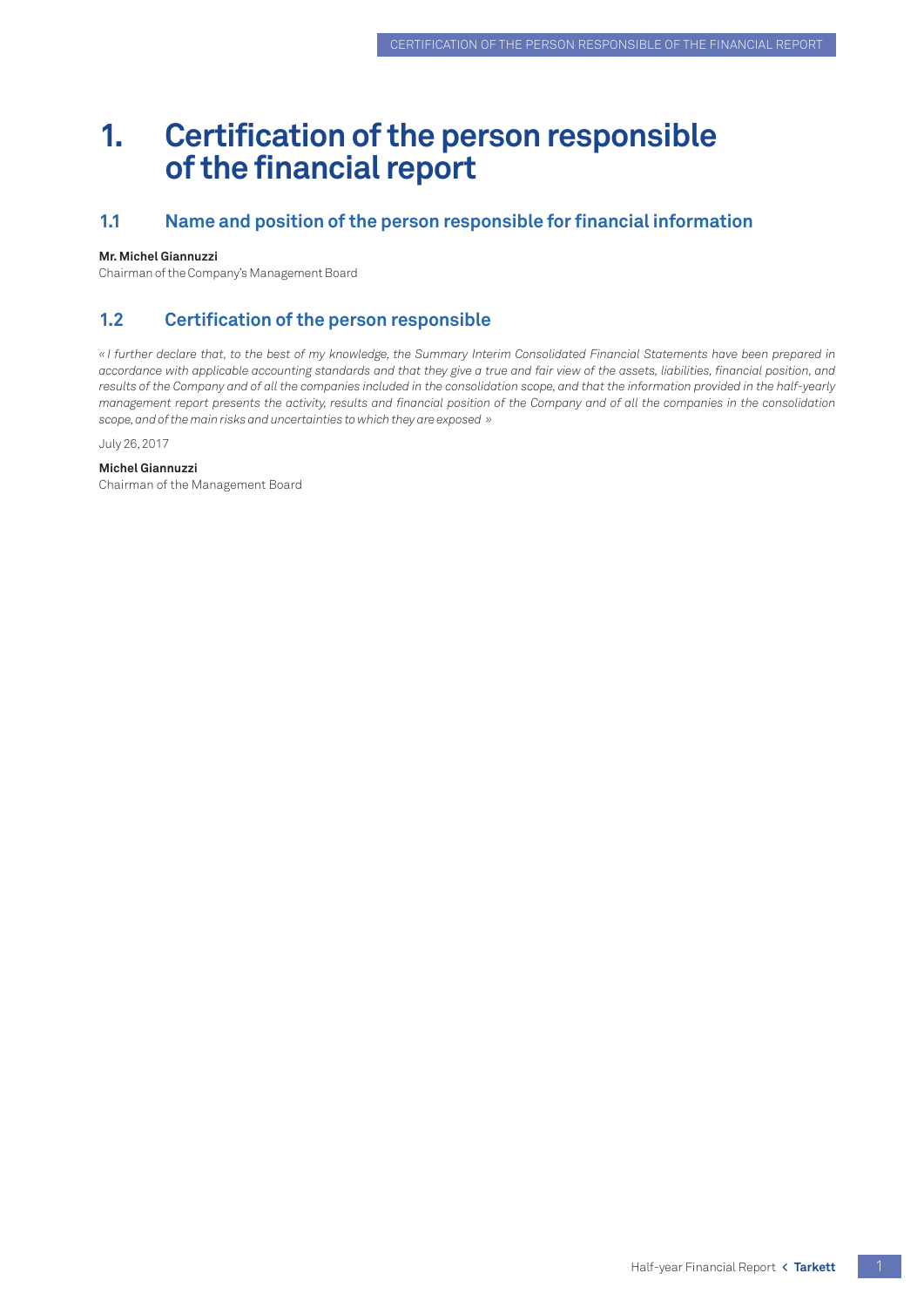# <span id="page-2-0"></span>**1. Certification of the person responsible of the financial report**

## **1.1 Name and position of the person responsible for financial information**

#### **Mr. Michel Giannuzzi**

Chairman of the Company's Management Board

## **1.2 Certification of the person responsible**

*« I further declare that, to the best of my knowledge, the Summary Interim Consolidated Financial Statements have been prepared in accordance with applicable accounting standards and that they give a true and fair view of the assets, liabilities, financial position, and results of the Company and of all the companies included in the consolidation scope, and that the information provided in the half-yearly management report presents the activity, results and financial position of the Company and of all the companies in the consolidation scope, and of the main risks and uncertainties to which they are exposed »*

July 26, 2017

#### **Michel Giannuzzi**

Chairman of the Management Board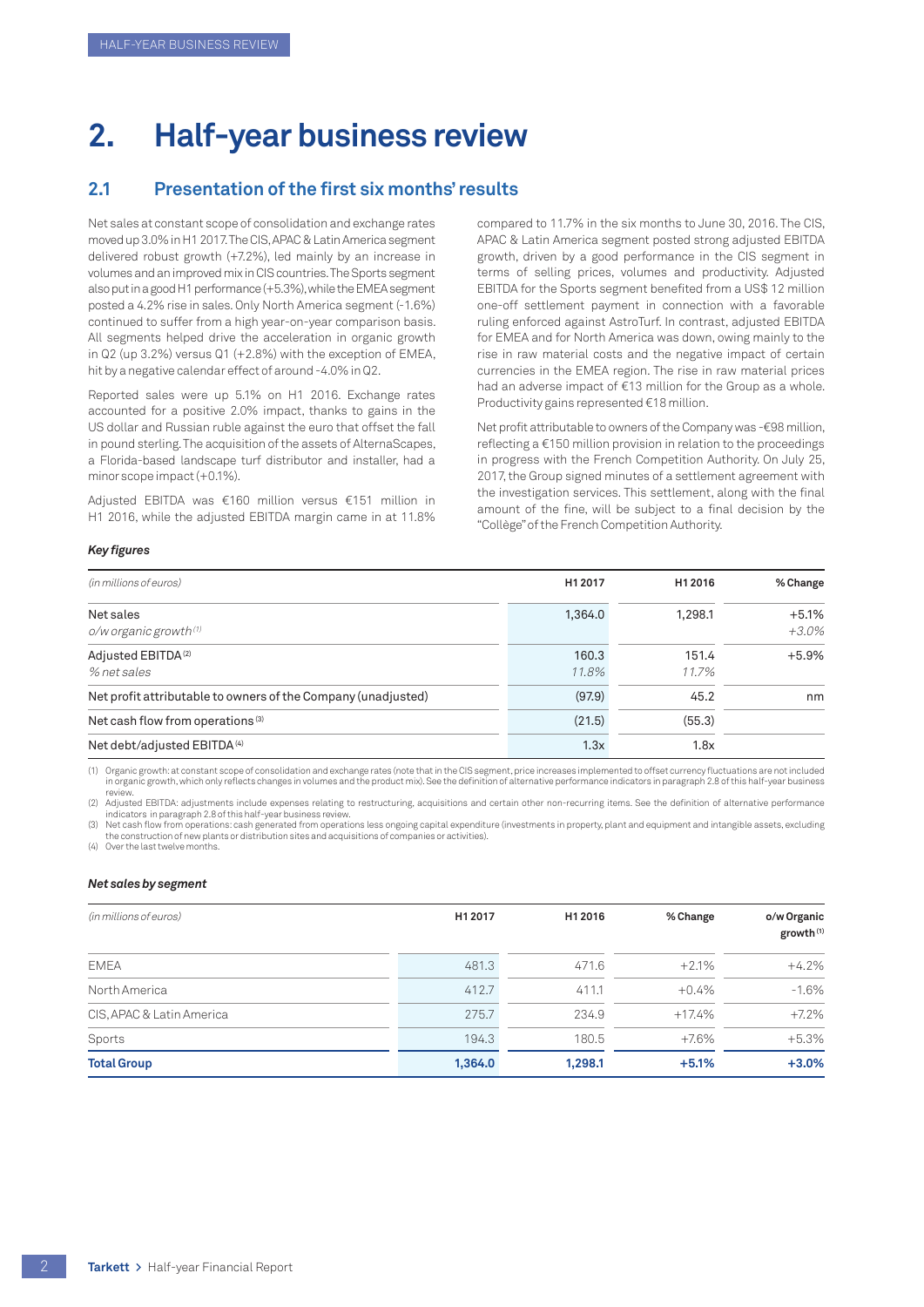# <span id="page-3-0"></span>**2. Half-year business review**

## **2.1 Presentation of the first six months' results**

Net sales at constant scope of consolidation and exchange rates moved up 3.0% in H1 2017. The CIS, APAC & Latin America segment delivered robust growth (+7.2%), led mainly by an increase in volumes and an improved mix in CIS countries. The Sports segment also put in a good H1 performance (+5.3%), while the EMEA segment posted a 4.2% rise in sales. Only North America segment (-1.6%) continued to suffer from a high year-on-year comparison basis. All segments helped drive the acceleration in organic growth in Q2 (up 3.2%) versus Q1 (+2.8%) with the exception of EMEA, hit by a negative calendar effect of around -4.0% in Q2.

Reported sales were up 5.1% on H1 2016. Exchange rates accounted for a positive 2.0% impact, thanks to gains in the US dollar and Russian ruble against the euro that offset the fall in pound sterling. The acquisition of the assets of AlternaScapes, a Florida-based landscape turf distributor and installer, had a minor scope impact (+0.1%).

Adjusted EBITDA was €160 million versus €151 million in H1 2016, while the adjusted EBITDA margin came in at 11.8%

compared to 11.7% in the six months to June 30, 2016. The CIS, APAC & Latin America segment posted strong adjusted EBITDA growth, driven by a good performance in the CIS segment in terms of selling prices, volumes and productivity. Adjusted EBITDA for the Sports segment benefited from a US\$ 12 million one-off settlement payment in connection with a favorable ruling enforced against AstroTurf. In contrast, adjusted EBITDA for EMEA and for North America was down, owing mainly to the rise in raw material costs and the negative impact of certain currencies in the EMEA region. The rise in raw material prices had an adverse impact of €13 million for the Group as a whole. Productivity gains represented €18 million.

Net profit attributable to owners of the Company was -€98 million, reflecting a €150 million provision in relation to the proceedings in progress with the French Competition Authority. On July 25, 2017, the Group signed minutes of a settlement agreement with the investigation services. This settlement, along with the final amount of the fine, will be subject to a final decision by the "Collège" of the French Competition Authority.

#### *Key figures*

| (in millions of euros)                                        | H1 2017        | H1 2016        | % Change            |
|---------------------------------------------------------------|----------------|----------------|---------------------|
| Net sales<br>$o/w$ organic growth $(1)$                       | 1,364.0        | 1,298.1        | $+5.1%$<br>$+3.0\%$ |
| Adjusted EBITDA <sup>(2)</sup><br>% net sales                 | 160.3<br>11.8% | 151.4<br>11.7% | $+5.9%$             |
| Net profit attributable to owners of the Company (unadjusted) | (97.9)         | 45.2           | nm                  |
| Net cash flow from operations <sup>(3)</sup>                  | (21.5)         | (55.3)         |                     |
| Net debt/adjusted EBITDA <sup>(4)</sup>                       | 1.3x           | 1.8x           |                     |

(1) Organic growth: at constant scope of consolidation and exchange rates (note that in the CIS segment, price increases implemented to offset currency fluctuations are not included in organic growth, which only reflects changes in volumes and the product mix). See the definition of alternative performance indicators in paragraph 2.8 of this half-year business

review.<br>(2) Adjusted EBITDA: adjustments include expenses relating to restructuring, acquisitions and certain other non-recurring items. See the definition of alternative performance) indicators in paragraph 2.8 of this half-year business review.

(3) Net cash flow from operations: cash generated from operations less ongoing capital expenditure (investments in property, plant and equipment and intangible assets, excluding the construction of new plants or distribution sites and acquisitions of companies or activities).

(4) Over the last twelve months

#### *Net sales by segment*

| (in millions of euros)    | H1 2017 | H1 2016 | % Change | o/w Organic<br>growth <sup>(1)</sup> |
|---------------------------|---------|---------|----------|--------------------------------------|
| <b>EMEA</b>               | 481.3   | 471.6   | $+2.1%$  | $+4.2%$                              |
| North America             | 412.7   | 411.1   | $+0.4%$  | $-1.6%$                              |
| CIS, APAC & Latin America | 275.7   | 234.9   | $+17.4%$ | $+7.2%$                              |
| Sports                    | 194.3   | 180.5   | $+7.6%$  | $+5.3%$                              |
| <b>Total Group</b>        | 1,364.0 | 1,298.1 | $+5.1%$  | $+3.0%$                              |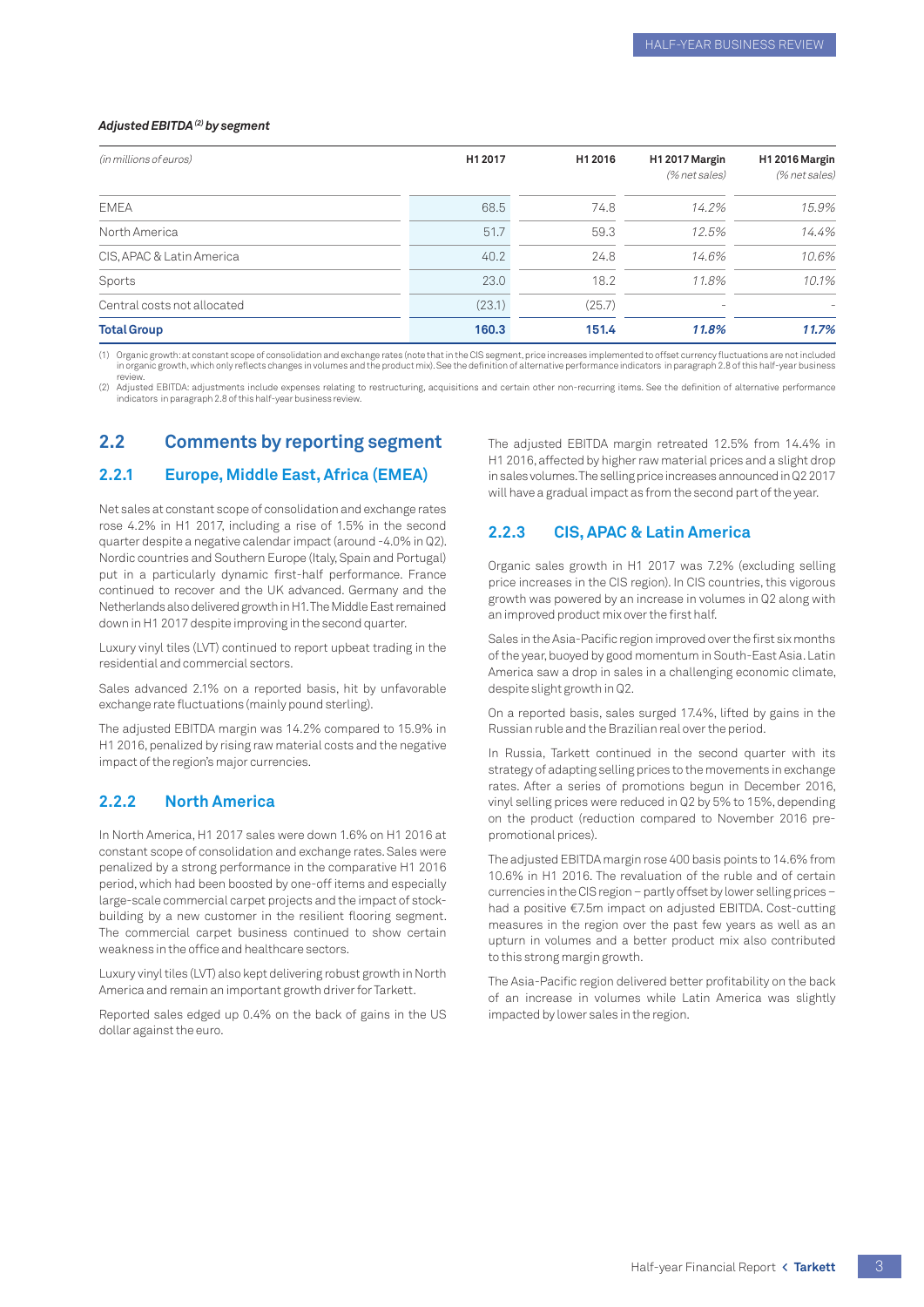#### Adjusted EBITDA<sup>(2)</sup> by segment

| (in millions of euros)      | H1 2017 | H1 2016 | H12017 Margin<br>(% net sales) | H12016 Margin<br>(% net sales) |
|-----------------------------|---------|---------|--------------------------------|--------------------------------|
| <b>EMEA</b>                 | 68.5    | 74.8    | 14.2%                          | 15.9%                          |
| North America               | 51.7    | 59.3    | 12.5%                          | 14.4%                          |
| CIS, APAC & Latin America   | 40.2    | 24.8    | 14.6%                          | 10.6%                          |
| Sports                      | 23.0    | 18.2    | 11.8%                          | 10.1%                          |
| Central costs not allocated | (23.1)  | (25.7)  | $\sim$                         |                                |
| <b>Total Group</b>          | 160.3   | 151.4   | 11.8%                          | 11.7%                          |

(1) Organic growth: at constant scope of consolidation and exchange rates (note that in the CIS segment, price increases implemented to offset currency fluctuations are not included<br>in organic growth, which only reflects c review.

(2) Adjusted EBITDA: adjustments include expenses relating to restructuring, acquisitions and certain other non-recurring items. See the definition of alternative performance indicators in paragraph 2.8 of this half-year business revi

## **2.2 Comments by reporting segment**

#### **2.2.1 Europe, Middle East, Africa (EMEA)**

Net sales at constant scope of consolidation and exchange rates rose 4.2% in H1 2017, including a rise of 1.5% in the second quarter despite a negative calendar impact (around -4.0% in Q2). Nordic countries and Southern Europe (Italy, Spain and Portugal) put in a particularly dynamic first-half performance. France continued to recover and the UK advanced. Germany and the Netherlands also delivered growth in H1. The Middle East remained down in H1 2017 despite improving in the second quarter.

Luxury vinyl tiles (LVT) continued to report upbeat trading in the residential and commercial sectors.

Sales advanced 2.1% on a reported basis, hit by unfavorable exchange rate fluctuations (mainly pound sterling).

The adjusted EBITDA margin was 14.2% compared to 15.9% in H1 2016, penalized by rising raw material costs and the negative impact of the region's major currencies.

#### **2.2.2 North America**

In North America, H1 2017 sales were down 1.6% on H1 2016 at constant scope of consolidation and exchange rates. Sales were penalized by a strong performance in the comparative H1 2016 period, which had been boosted by one-off items and especially large-scale commercial carpet projects and the impact of stockbuilding by a new customer in the resilient flooring segment. The commercial carpet business continued to show certain weakness in the office and healthcare sectors.

Luxury vinyl tiles (LVT) also kept delivering robust growth in North America and remain an important growth driver for Tarkett.

Reported sales edged up 0.4% on the back of gains in the US dollar against the euro.

The adjusted EBITDA margin retreated 12.5% from 14.4% in H1 2016, affected by higher raw material prices and a slight drop in sales volumes. The selling price increases announced in Q2 2017 will have a gradual impact as from the second part of the year.

#### **2.2.3 CIS, APAC & Latin America**

Organic sales growth in H1 2017 was 7.2% (excluding selling price increases in the CIS region). In CIS countries, this vigorous growth was powered by an increase in volumes in Q2 along with an improved product mix over the first half.

Sales in the Asia-Pacific region improved over the first six months of the year, buoyed by good momentum in South-East Asia. Latin America saw a drop in sales in a challenging economic climate, despite slight growth in Q2.

On a reported basis, sales surged 17.4%, lifted by gains in the Russian ruble and the Brazilian real over the period.

In Russia, Tarkett continued in the second quarter with its strategy of adapting selling prices to the movements in exchange rates. After a series of promotions begun in December 2016, vinyl selling prices were reduced in Q2 by 5% to 15%, depending on the product (reduction compared to November 2016 prepromotional prices).

The adjusted EBITDA margin rose 400 basis points to 14.6% from 10.6% in H1 2016. The revaluation of the ruble and of certain currencies in the CIS region – partly offset by lower selling prices – had a positive €7.5m impact on adjusted EBITDA. Cost-cutting measures in the region over the past few years as well as an upturn in volumes and a better product mix also contributed to this strong margin growth.

The Asia-Pacific region delivered better profitability on the back of an increase in volumes while Latin America was slightly impacted by lower sales in the region.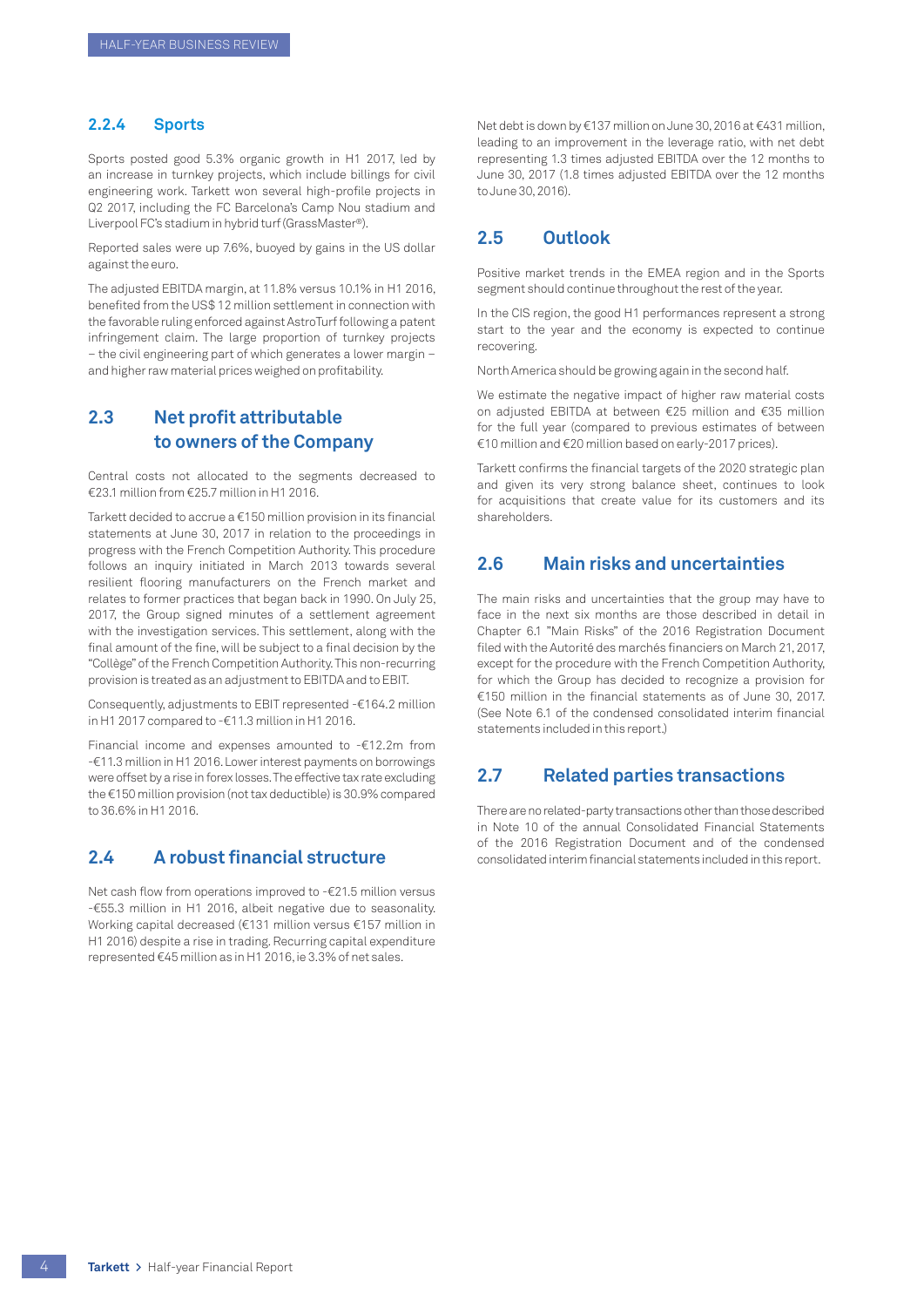#### <span id="page-5-0"></span>**2.2.4 Sports**

Sports posted good 5.3% organic growth in H1 2017, led by an increase in turnkey projects, which include billings for civil engineering work. Tarkett won several high-profile projects in Q2 2017, including the FC Barcelona's Camp Nou stadium and Liverpool FC's stadium in hybrid turf (GrassMaster®).

Reported sales were up 7.6%, buoyed by gains in the US dollar against the euro.

The adjusted EBITDA margin, at 11.8% versus 10.1% in H1 2016, benefited from the US\$ 12 million settlement in connection with the favorable ruling enforced against AstroTurf following a patent infringement claim. The large proportion of turnkey projects – the civil engineering part of which generates a lower margin – and higher raw material prices weighed on profitability.

## **2.3 Net profit attributable to owners of the Company**

Central costs not allocated to the segments decreased to €23.1 million from €25.7 million in H1 2016.

Tarkett decided to accrue a €150 million provision in its financial statements at June 30, 2017 in relation to the proceedings in progress with the French Competition Authority. This procedure follows an inquiry initiated in March 2013 towards several resilient flooring manufacturers on the French market and relates to former practices that began back in 1990. On July 25, 2017, the Group signed minutes of a settlement agreement with the investigation services. This settlement, along with the final amount of the fine, will be subject to a final decision by the "Collège" of the French Competition Authority. This non-recurring provision is treated as an adjustment to EBITDA and to EBIT.

Consequently, adjustments to EBIT represented -€164.2 million in H1 2017 compared to -€11.3 million in H1 2016.

Financial income and expenses amounted to -€12.2m from -€11.3 million in H1 2016. Lower interest payments on borrowings were offset by a rise in forex losses. The effective tax rate excluding the €150 million provision (not tax deductible) is 30.9% compared to 36.6% in H1 2016.

## **2.4 A robust financial structure**

Net cash flow from operations improved to -€21.5 million versus -€55.3 million in H1 2016, albeit negative due to seasonality. Working capital decreased (€131 million versus €157 million in H1 2016) despite a rise in trading. Recurring capital expenditure represented €45 million as in H1 2016, ie 3.3% of net sales.

Net debt is down by €137 million on June 30, 2016 at €431 million, leading to an improvement in the leverage ratio, with net debt representing 1.3 times adjusted EBITDA over the 12 months to June 30, 2017 (1.8 times adjusted EBITDA over the 12 months to June 30, 2016).

## **2.5 Outlook**

Positive market trends in the EMEA region and in the Sports segment should continue throughout the rest of the year.

In the CIS region, the good H1 performances represent a strong start to the year and the economy is expected to continue recovering.

North America should be growing again in the second half.

We estimate the negative impact of higher raw material costs on adjusted EBITDA at between €25 million and €35 million for the full year (compared to previous estimates of between €10 million and €20 million based on early-2017 prices).

Tarkett confirms the financial targets of the 2020 strategic plan and given its very strong balance sheet, continues to look for acquisitions that create value for its customers and its shareholders.

## **2.6 Main risks and uncertainties**

The main risks and uncertainties that the group may have to face in the next six months are those described in detail in Chapter 6.1 "Main Risks" of the 2016 Registration Document filed with the Autorité des marchés financiers on March 21, 2017, except for the procedure with the French Competition Authority, for which the Group has decided to recognize a provision for €150 million in the financial statements as of June 30, 2017. (See Note 6.1 of the condensed consolidated interim financial statements included in this report.)

## **2.7 Related parties transactions**

There are no related-party transactions other than those described in Note 10 of the annual Consolidated Financial Statements of the 2016 Registration Document and of the condensed consolidated interim financial statements included in this report.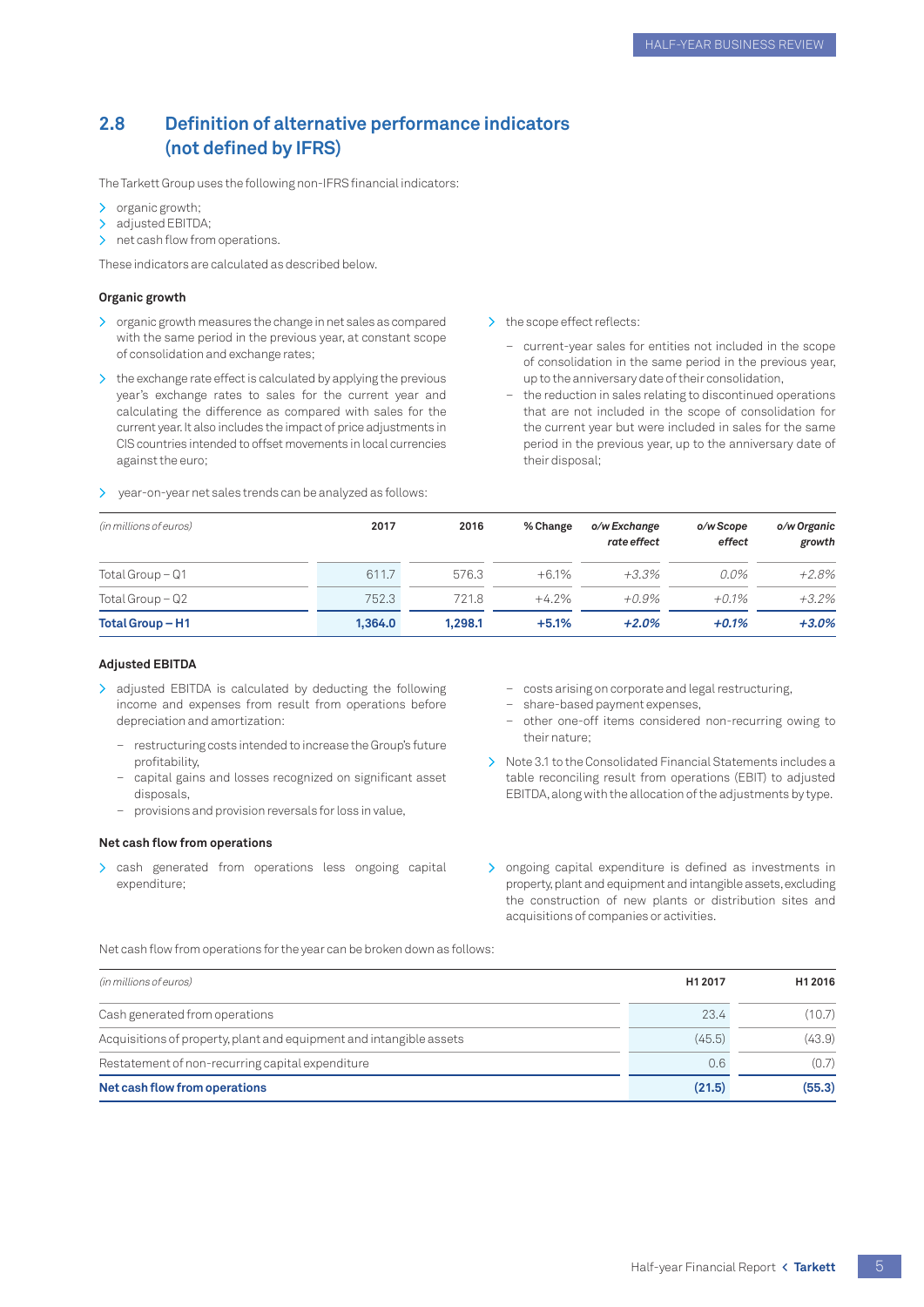## <span id="page-6-0"></span>**2.8 Definition of alternative performance indicators (not defined by IFRS)**

The Tarkett Group uses the following non-IFRS financial indicators:

- > organic growth;
- > adjusted EBITDA;
- > net cash flow from operations.

These indicators are calculated as described below.

#### **Organic growth**

- > organic growth measures the change in net sales as compared with the same period in the previous year, at constant scope of consolidation and exchange rates;
- > the exchange rate effect is calculated by applying the previous year's exchange rates to sales for the current year and calculating the difference as compared with sales for the current year. It also includes the impact of price adjustments in CIS countries intended to offset movements in local currencies against the euro;
- > year-on-year net sales trends can be analyzed as follows:
- > the scope effect reflects:
	- current-year sales for entities not included in the scope of consolidation in the same period in the previous year, up to the anniversary date of their consolidation,
	- the reduction in sales relating to discontinued operations that are not included in the scope of consolidation for the current year but were included in sales for the same period in the previous year, up to the anniversary date of their disposal;

| (in millions of euros) | 2017    | 2016    | % Change | o/w Exchange<br>rate effect | o/w Scope<br>effect | o/w Organic<br>growth |
|------------------------|---------|---------|----------|-----------------------------|---------------------|-----------------------|
| Total Group – Q1       | 611.7   | 576.3   | $+6.1%$  | $+3.3\%$                    | $0.0\%$             | $+2.8%$               |
| Total Group $-Q2$      | 752.3   | 721.8   | $+4.2%$  | $+0.9\%$                    | $+0.1\%$            | $+3.2%$               |
| Total Group - H1       | 1,364.0 | 1.298.1 | $+5.1%$  | $+2.0%$                     | $+0.1%$             | $+3.0%$               |

#### **Adjusted EBITDA**

- > adjusted EBITDA is calculated by deducting the following income and expenses from result from operations before depreciation and amortization:
	- restructuring costs intended to increase the Group's future profitability,
	- capital gains and losses recognized on significant asset disposals,
	- provisions and provision reversals for loss in value,

#### **Net cash flow from operations**

> cash generated from operations less ongoing capital expenditure;

- costs arising on corporate and legal restructuring,
- share-based payment expenses,
- other one-off items considered non-recurring owing to their nature;
- > Note 3.1 to the Consolidated Financial Statements includes a table reconciling result from operations (EBIT) to adjusted EBITDA, along with the allocation of the adjustments by type.
- > ongoing capital expenditure is defined as investments in property, plant and equipment and intangible assets, excluding the construction of new plants or distribution sites and acquisitions of companies or activities.

Net cash flow from operations for the year can be broken down as follows:

| (in millions of euros)                                              | H1 2017 | H1 2016 |
|---------------------------------------------------------------------|---------|---------|
| Cash generated from operations                                      | 23.4    | (10.7)  |
| Acquisitions of property, plant and equipment and intangible assets | (45.5)  | (43.9)  |
| Restatement of non-recurring capital expenditure                    | 0.6     | (0.7)   |
| Net cash flow from operations                                       | (21.5)  | (55.3)  |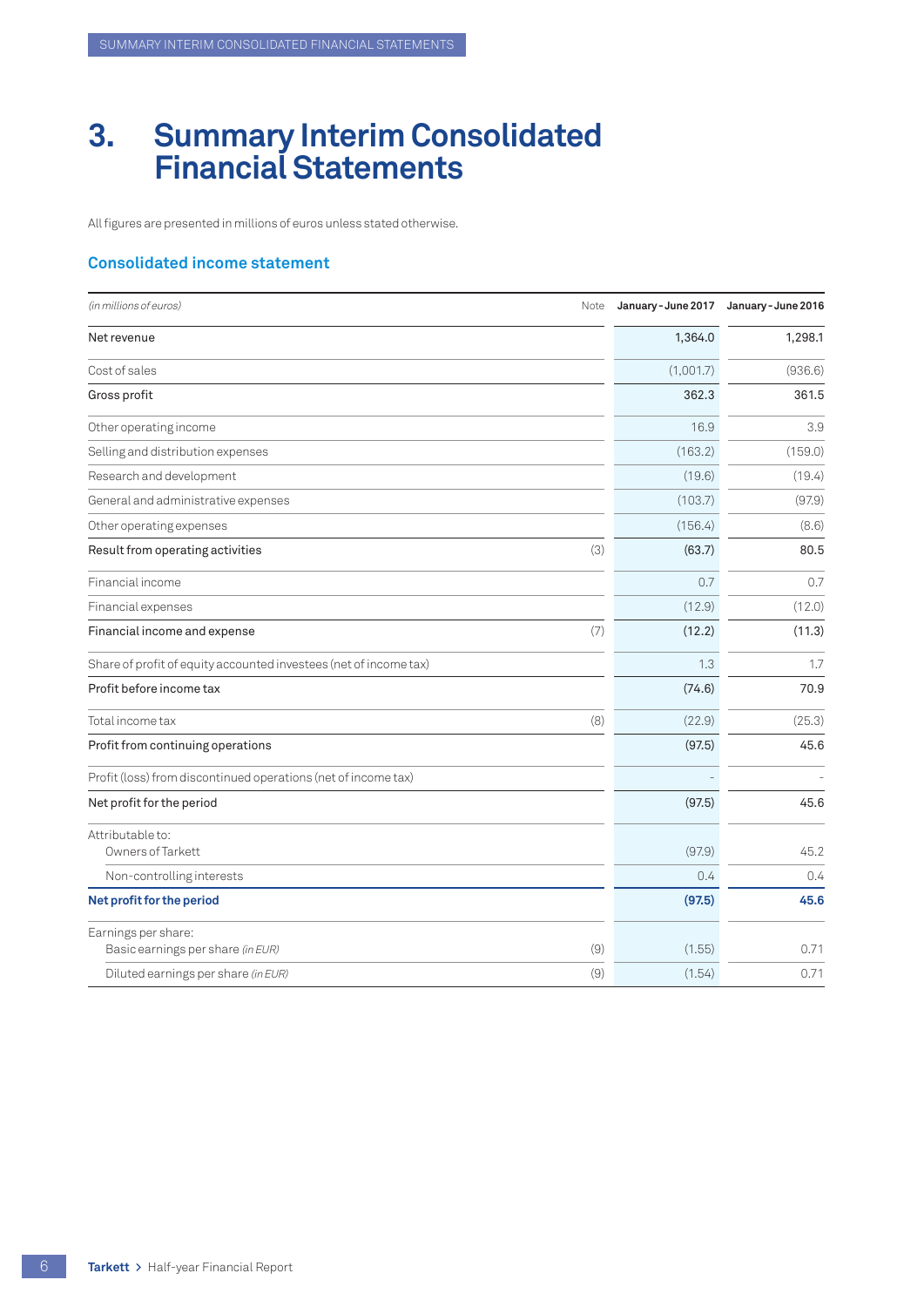# <span id="page-7-0"></span>**3. Summary Interim Consolidated Financial Statements**

All figures are presented in millions of euros unless stated otherwise.

### **Consolidated income statement**

| (in millions of euros)<br>Note                                    | January - June 2017 | January - June 2016 |
|-------------------------------------------------------------------|---------------------|---------------------|
| Net revenue                                                       | 1,364.0             | 1,298.1             |
| Cost of sales                                                     | (1,001.7)           | (936.6)             |
| Gross profit                                                      | 362.3               | 361.5               |
| Other operating income                                            | 16.9                | 3.9                 |
| Selling and distribution expenses                                 | (163.2)             | (159.0)             |
| Research and development                                          | (19.6)              | (19.4)              |
| General and administrative expenses                               | (103.7)             | (97.9)              |
| Other operating expenses                                          | (156.4)             | (8.6)               |
| Result from operating activities<br>(3)                           | (63.7)              | 80.5                |
| Financial income                                                  | 0.7                 | 0.7                 |
| Financial expenses                                                | (12.9)              | (12.0)              |
| Financial income and expense<br>(7)                               | (12.2)              | (11.3)              |
| Share of profit of equity accounted investees (net of income tax) | 1.3                 | 1.7                 |
| Profit before income tax                                          | (74.6)              | 70.9                |
| Total income tax<br>(8)                                           | (22.9)              | (25.3)              |
| Profit from continuing operations                                 | (97.5)              | 45.6                |
| Profit (loss) from discontinued operations (net of income tax)    |                     |                     |
| Net profit for the period                                         | (97.5)              | 45.6                |
| Attributable to:                                                  |                     |                     |
| Owners of Tarkett                                                 | (97.9)              | 45.2                |
| Non-controlling interests                                         | 0.4                 | 0.4                 |
| Net profit for the period                                         | (97.5)              | 45.6                |
| Earnings per share:<br>Basic earnings per share (in EUR)<br>(9)   | (1.55)              | 0.71                |
| (9)<br>Diluted earnings per share (in EUR)                        | (1.54)              | 0.71                |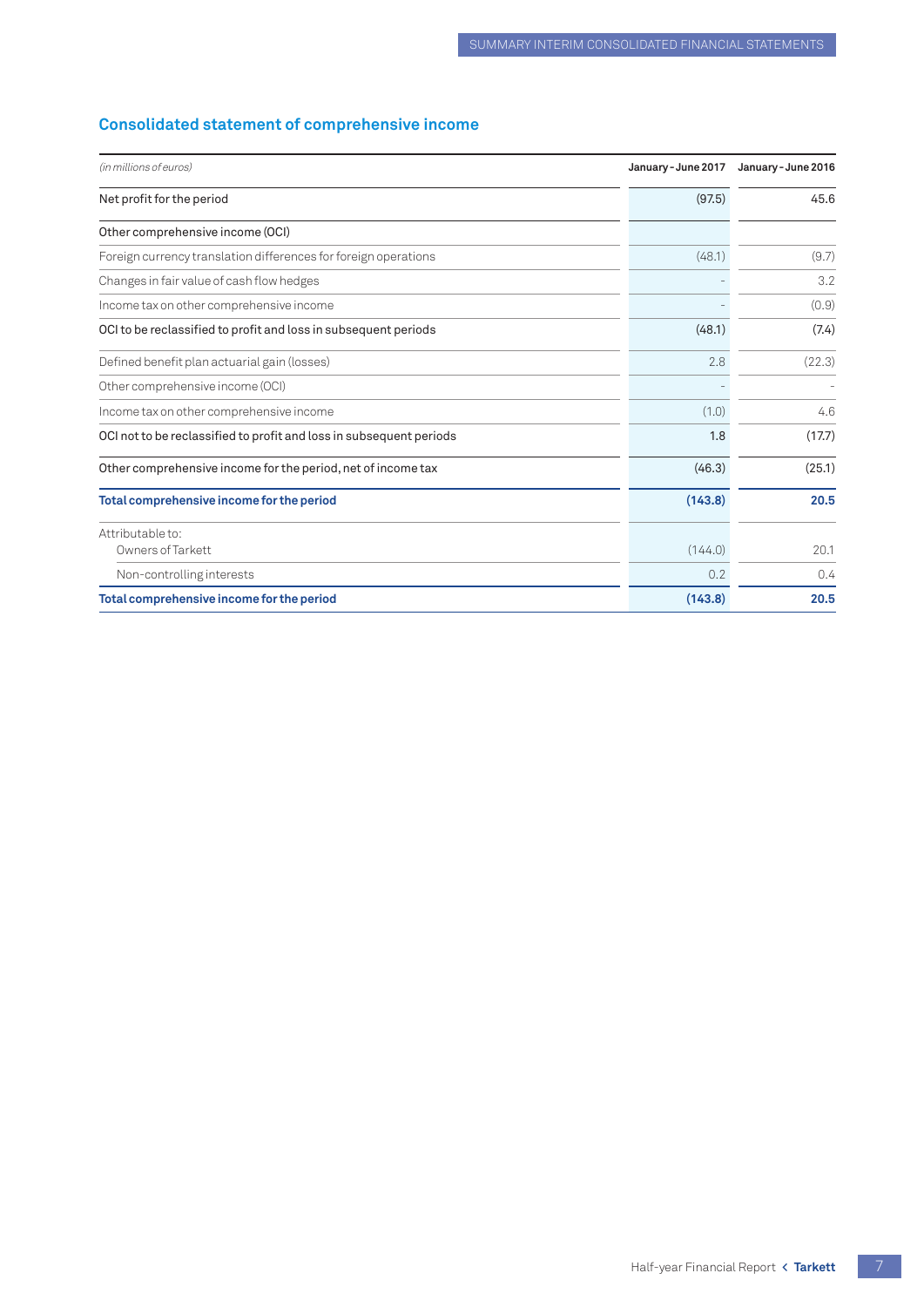## <span id="page-8-0"></span>**Consolidated statement of comprehensive income**

| (in millions of euros)                                              | January - June 2017 | January - June 2016 |
|---------------------------------------------------------------------|---------------------|---------------------|
| Net profit for the period                                           | (97.5)              | 45.6                |
| Other comprehensive income (OCI)                                    |                     |                     |
| Foreign currency translation differences for foreign operations     | (48.1)              | (9.7)               |
| Changes in fair value of cash flow hedges                           |                     | 3.2                 |
| Income tax on other comprehensive income                            |                     | (0.9)               |
| OCI to be reclassified to profit and loss in subsequent periods     | (48.1)              | (7.4)               |
| Defined benefit plan actuarial gain (losses)                        | 2.8                 | (22.3)              |
| Other comprehensive income (OCI)                                    |                     |                     |
| Income tax on other comprehensive income                            | (1.0)               | 4.6                 |
| OCI not to be reclassified to profit and loss in subsequent periods | 1.8                 | (17.7)              |
| Other comprehensive income for the period, net of income tax        | (46.3)              | (25.1)              |
| Total comprehensive income for the period                           | (143.8)             | 20.5                |
| Attributable to:<br>Owners of Tarkett                               | (144.0)             | 20.1                |
|                                                                     | 0.2                 |                     |
| Non-controlling interests                                           |                     | 0.4                 |
| Total comprehensive income for the period                           | (143.8)             | 20.5                |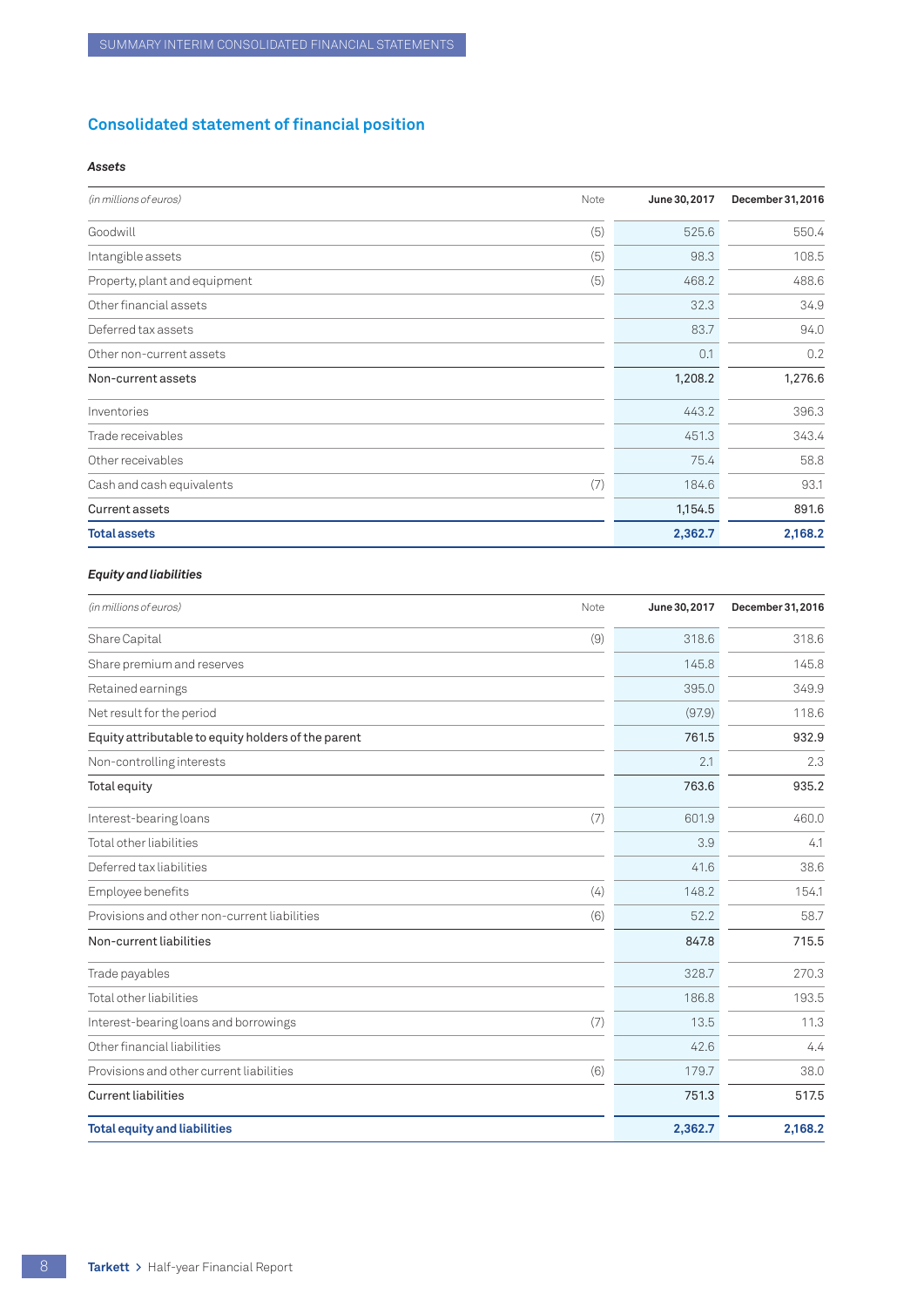## <span id="page-9-0"></span>**Consolidated statement of financial position**

#### *Assets*

| (in millions of euros)<br>Note       | June 30, 2017 | December 31, 2016 |
|--------------------------------------|---------------|-------------------|
| (5)<br>Goodwill                      | 525.6         | 550.4             |
| (5)<br>Intangible assets             | 98.3          | 108.5             |
| (5)<br>Property, plant and equipment | 468.2         | 488.6             |
| Other financial assets               | 32.3          | 34.9              |
| Deferred tax assets                  | 83.7          | 94.0              |
| Other non-current assets             | 0.1           | 0.2               |
| Non-current assets                   | 1,208.2       | 1,276.6           |
| Inventories                          | 443.2         | 396.3             |
| Trade receivables                    | 451.3         | 343.4             |
| Other receivables                    | 75.4          | 58.8              |
| (7)<br>Cash and cash equivalents     | 184.6         | 93.1              |
| Current assets                       | 1,154.5       | 891.6             |
| <b>Total assets</b>                  | 2,362.7       | 2,168.2           |

#### *Equity and liabilities*

| (in millions of euros)<br>Note                      | June 30, 2017 | December 31, 2016 |
|-----------------------------------------------------|---------------|-------------------|
| (9)<br>Share Capital                                | 318.6         | 318.6             |
| Share premium and reserves                          | 145.8         | 145.8             |
| Retained earnings                                   | 395.0         | 349.9             |
| Net result for the period                           | (97.9)        | 118.6             |
| Equity attributable to equity holders of the parent | 761.5         | 932.9             |
| Non-controlling interests                           | 2.1           | 2.3               |
| Total equity                                        | 763.6         | 935.2             |
| Interest-bearing loans<br>(7)                       | 601.9         | 460.0             |
| Total other liabilities                             | 3.9           | 4.1               |
| Deferred tax liabilities                            | 41.6          | 38.6              |
| (4)<br>Employee benefits                            | 148.2         | 154.1             |
| (6)<br>Provisions and other non-current liabilities | 52.2          | 58.7              |
| Non-current liabilities                             | 847.8         | 715.5             |
| Trade payables                                      | 328.7         | 270.3             |
| Total other liabilities                             | 186.8         | 193.5             |
| (7)<br>Interest-bearing loans and borrowings        | 13.5          | 11.3              |
| Other financial liabilities                         | 42.6          | 4.4               |
| Provisions and other current liabilities<br>(6)     | 179.7         | 38.0              |
| <b>Current liabilities</b>                          | 751.3         | 517.5             |
| <b>Total equity and liabilities</b>                 | 2,362.7       | 2,168.2           |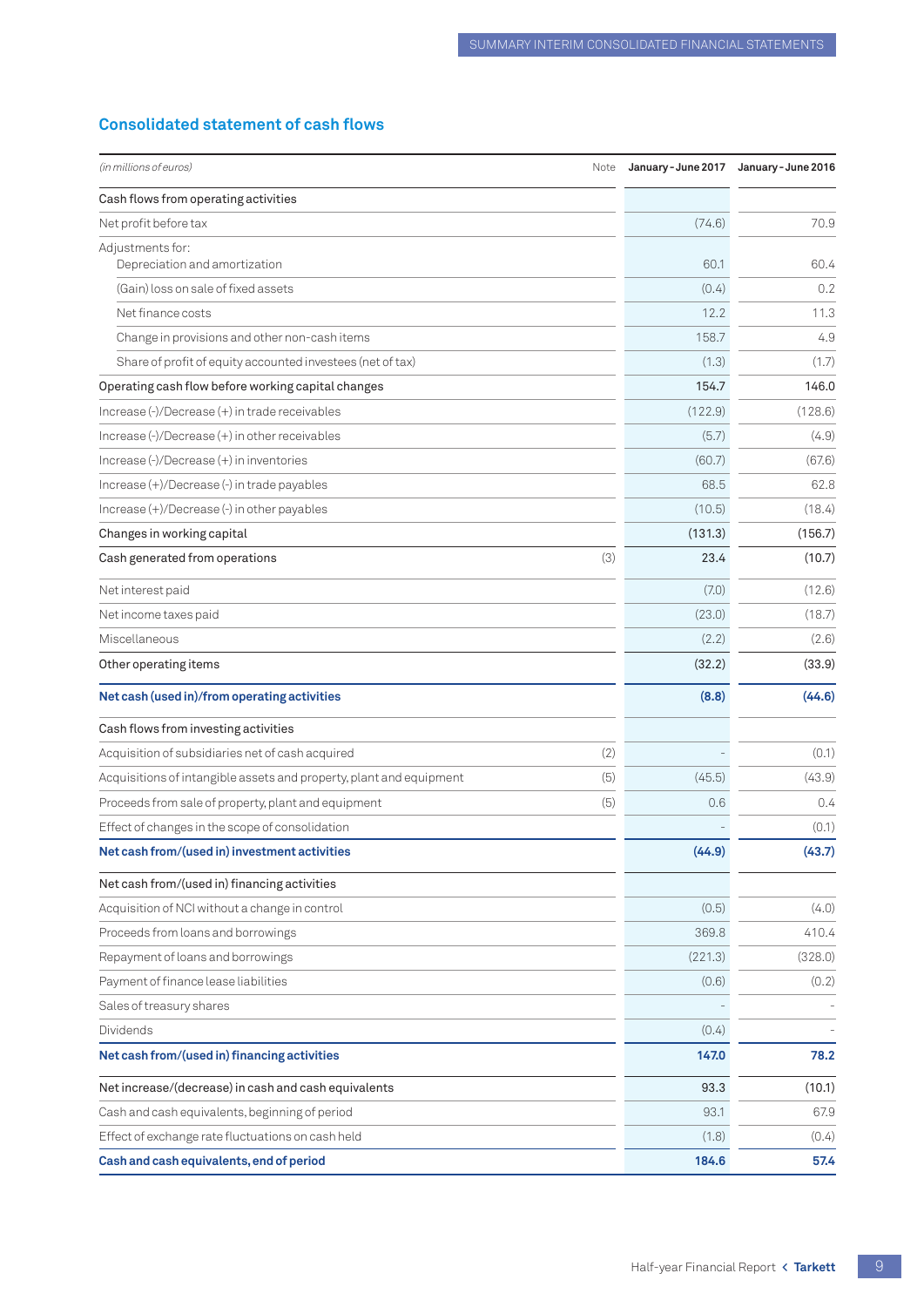## <span id="page-10-0"></span>**Consolidated statement of cash flows**

| (in millions of euros)<br>Note                                             |         | January-June 2017 January-June 2016 |
|----------------------------------------------------------------------------|---------|-------------------------------------|
| Cash flows from operating activities                                       |         |                                     |
| Net profit before tax                                                      | (74.6)  | 70.9                                |
| Adjustments for:                                                           |         |                                     |
| Depreciation and amortization                                              | 60.1    | 60.4                                |
| (Gain) loss on sale of fixed assets                                        | (0.4)   | 0.2                                 |
| Net finance costs                                                          | 12.2    | 11.3                                |
| Change in provisions and other non-cash items                              | 158.7   | 4.9                                 |
| Share of profit of equity accounted investees (net of tax)                 | (1.3)   | (1.7)                               |
| Operating cash flow before working capital changes                         | 154.7   | 146.0                               |
| Increase (-)/Decrease (+) in trade receivables                             | (122.9) | (128.6)                             |
| Increase (-)/Decrease (+) in other receivables                             | (5.7)   | (4.9)                               |
| Increase (-)/Decrease (+) in inventories                                   | (60.7)  | (67.6)                              |
| Increase (+)/Decrease (-) in trade payables                                | 68.5    | 62.8                                |
| Increase (+)/Decrease (-) in other payables                                | (10.5)  | (18.4)                              |
| Changes in working capital                                                 | (131.3) | (156.7)                             |
| (3)<br>Cash generated from operations                                      | 23.4    | (10.7)                              |
| Net interest paid                                                          | (7.0)   | (12.6)                              |
| Net income taxes paid                                                      | (23.0)  | (18.7)                              |
| Miscellaneous                                                              | (2.2)   | (2.6)                               |
| Other operating items                                                      | (32.2)  | (33.9)                              |
| Net cash (used in)/from operating activities                               | (8.8)   | (44.6)                              |
| Cash flows from investing activities                                       |         |                                     |
| Acquisition of subsidiaries net of cash acquired<br>(2)                    |         | (0.1)                               |
| (5)<br>Acquisitions of intangible assets and property, plant and equipment | (45.5)  | (43.9)                              |
| Proceeds from sale of property, plant and equipment<br>(5)                 | 0.6     | 0.4                                 |
| Effect of changes in the scope of consolidation                            |         | (0.1)                               |
| Net cash from/(used in) investment activities                              | (44.9)  | (43.7)                              |
| Net cash from/(used in) financing activities                               |         |                                     |
| Acquisition of NCI without a change in control                             | (0.5)   | (4.0)                               |
| Proceeds from loans and borrowings                                         | 369.8   | 410.4                               |
| Repayment of loans and borrowings                                          | (221.3) | (328.0)                             |
| Payment of finance lease liabilities                                       | (0.6)   | (0.2)                               |
| Sales of treasury shares                                                   |         |                                     |
| Dividends                                                                  | (0.4)   |                                     |
| Net cash from/(used in) financing activities                               | 147.0   | 78.2                                |
| Net increase/(decrease) in cash and cash equivalents                       | 93.3    | (10.1)                              |
| Cash and cash equivalents, beginning of period                             | 93.1    | 67.9                                |
| Effect of exchange rate fluctuations on cash held                          | (1.8)   | (0.4)                               |
| Cash and cash equivalents, end of period                                   | 184.6   | 57.4                                |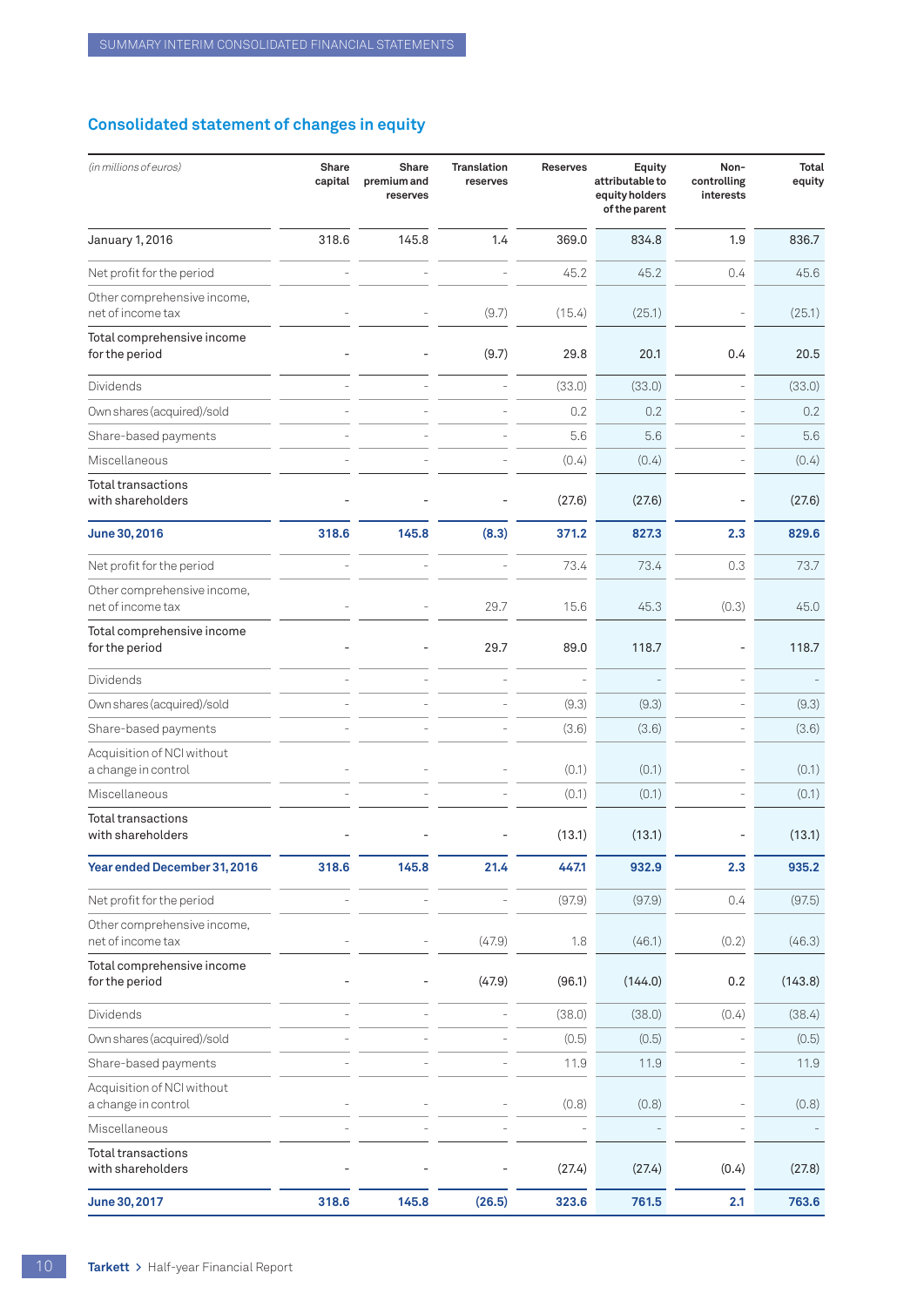## <span id="page-11-0"></span>**Consolidated statement of changes in equity**

| (in millions of euros)                            | Share<br>capital | Share<br>premium and<br>reserves | <b>Translation</b><br>reserves | <b>Reserves</b> | Equity<br>attributable to<br>equity holders<br>of the parent | Non-<br>controlling<br>interests | <b>Total</b><br>equity |
|---------------------------------------------------|------------------|----------------------------------|--------------------------------|-----------------|--------------------------------------------------------------|----------------------------------|------------------------|
| January 1, 2016                                   | 318.6            | 145.8                            | 1.4                            | 369.0           | 834.8                                                        | 1.9                              | 836.7                  |
| Net profit for the period                         |                  |                                  |                                | 45.2            | 45.2                                                         | 0.4                              | 45.6                   |
| Other comprehensive income,<br>net of income tax  |                  |                                  | (9.7)                          | (15.4)          | (25.1)                                                       | $\overline{a}$                   | (25.1)                 |
| Total comprehensive income<br>for the period      |                  |                                  | (9.7)                          | 29.8            | 20.1                                                         | 0.4                              | 20.5                   |
| Dividends                                         |                  |                                  |                                | (33.0)          | (33.0)                                                       | $\overline{a}$                   | (33.0)                 |
| Own shares (acquired)/sold                        |                  |                                  |                                | 0.2             | 0.2                                                          |                                  | 0.2                    |
| Share-based payments                              |                  |                                  |                                | 5.6             | 5.6                                                          |                                  | 5.6                    |
| Miscellaneous                                     |                  |                                  |                                | (0.4)           | (0.4)                                                        |                                  | (0.4)                  |
| <b>Total transactions</b><br>with shareholders    |                  |                                  |                                | (27.6)          | (27.6)                                                       | $\overline{a}$                   | (27.6)                 |
| June 30, 2016                                     | 318.6            | 145.8                            | (8.3)                          | 371.2           | 827.3                                                        | 2.3                              | 829.6                  |
| Net profit for the period                         |                  |                                  |                                | 73.4            | 73.4                                                         | 0.3                              | 73.7                   |
| Other comprehensive income,<br>net of income tax  |                  |                                  | 29.7                           | 15.6            | 45.3                                                         | (0.3)                            | 45.0                   |
| Total comprehensive income<br>for the period      |                  |                                  | 29.7                           | 89.0            | 118.7                                                        |                                  | 118.7                  |
| Dividends                                         |                  |                                  |                                |                 |                                                              |                                  |                        |
| Own shares (acquired)/sold                        |                  |                                  |                                | (9.3)           | (9.3)                                                        |                                  | (9.3)                  |
| Share-based payments                              |                  |                                  |                                | (3.6)           | (3.6)                                                        |                                  | (3.6)                  |
| Acquisition of NCI without<br>a change in control |                  |                                  |                                | (0.1)           | (0.1)                                                        |                                  | (0.1)                  |
| Miscellaneous                                     |                  |                                  |                                | (0.1)           | (0.1)                                                        |                                  | (0.1)                  |
| Total transactions<br>with shareholders           |                  |                                  |                                | (13.1)          | (13.1)                                                       |                                  | (13.1)                 |
| Year ended December 31, 2016                      | 318.6            | 145.8                            | 21.4                           | 447.1           | 932.9                                                        | 2.3                              | 935.2                  |
| Net profit for the period                         |                  |                                  |                                | (97.9)          | (97.9)                                                       | 0.4                              | (97.5)                 |
| Other comprehensive income,<br>net of income tax  |                  |                                  | (47.9)                         | 1.8             | (46.1)                                                       | (0.2)                            | (46.3)                 |
| Total comprehensive income<br>for the period      |                  |                                  | (47.9)                         | (96.1)          | (144.0)                                                      | 0.2                              | (143.8)                |
| Dividends                                         |                  |                                  |                                | (38.0)          | (38.0)                                                       | (0.4)                            | (38.4)                 |
| Own shares (acquired)/sold                        |                  |                                  |                                | (0.5)           | (0.5)                                                        |                                  | (0.5)                  |
| Share-based payments                              |                  |                                  |                                | 11.9            | 11.9                                                         |                                  | 11.9                   |
| Acquisition of NCI without<br>a change in control |                  |                                  |                                | (0.8)           | (0.8)                                                        |                                  | (0.8)                  |
| Miscellaneous                                     |                  |                                  |                                | $\overline{a}$  |                                                              |                                  |                        |
| <b>Total transactions</b><br>with shareholders    |                  |                                  |                                | (27.4)          | (27.4)                                                       | (0.4)                            | (27.8)                 |
| June 30, 2017                                     | 318.6            | 145.8                            | (26.5)                         | 323.6           | 761.5                                                        | 2.1                              | 763.6                  |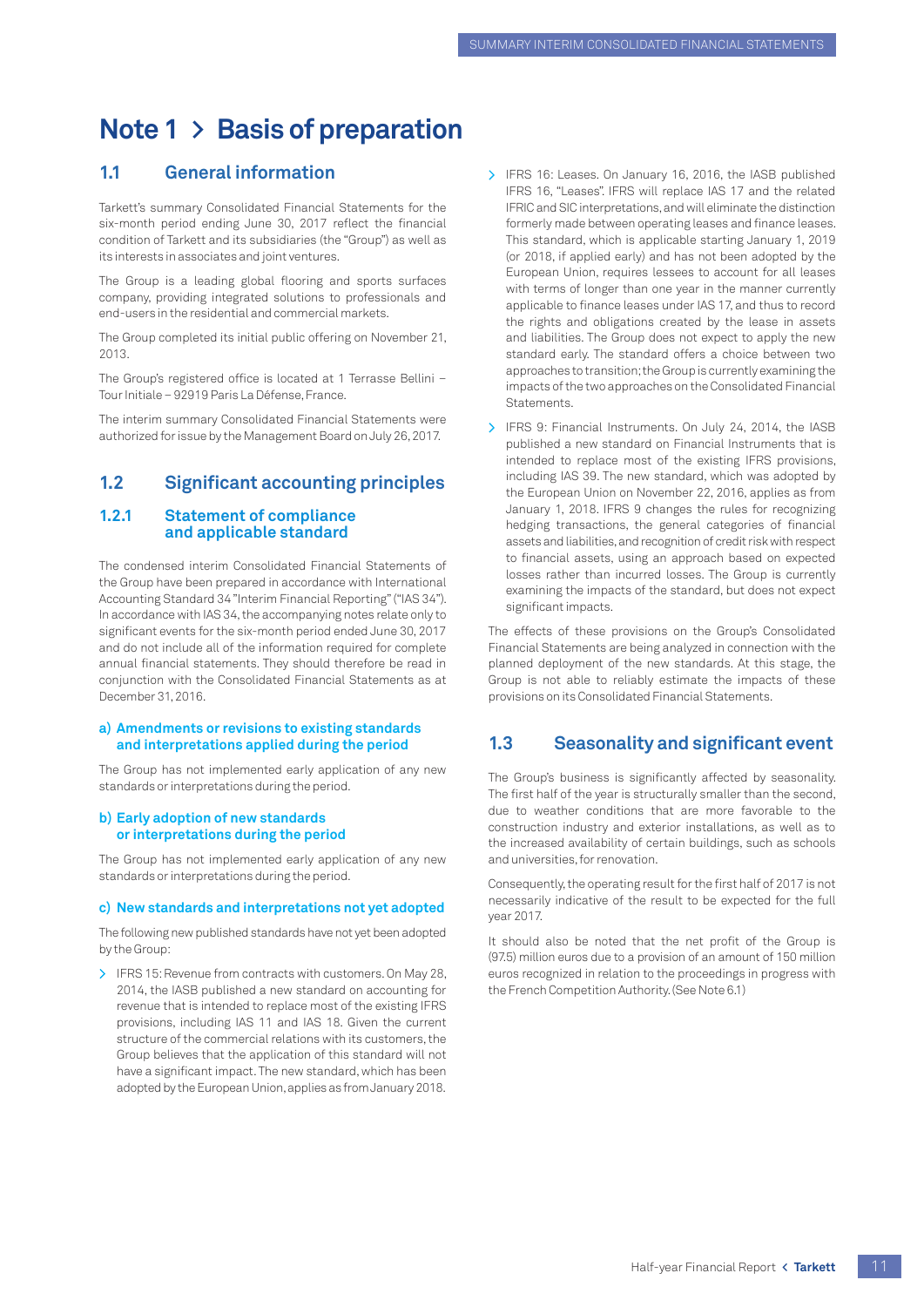# <span id="page-12-0"></span>**Note 1 > Basis of preparation**

## **1.1 General information**

Tarkett's summary Consolidated Financial Statements for the six-month period ending June 30, 2017 reflect the financial condition of Tarkett and its subsidiaries (the "Group") as well as its interests in associates and joint ventures.

The Group is a leading global flooring and sports surfaces company, providing integrated solutions to professionals and end-users in the residential and commercial markets.

The Group completed its initial public offering on November 21, 2013.

The Group's registered office is located at 1 Terrasse Bellini – Tour Initiale – 92919 Paris La Défense, France.

The interim summary Consolidated Financial Statements were authorized for issue by the Management Board on July 26, 2017.

### **1.2 Significant accounting principles**

#### **1.2.1 Statement of compliance and applicable standard**

The condensed interim Consolidated Financial Statements of the Group have been prepared in accordance with International Accounting Standard 34 "Interim Financial Reporting" ("IAS 34"). In accordance with IAS 34, the accompanying notes relate only to significant events for the six-month period ended June 30, 2017 and do not include all of the information required for complete annual financial statements. They should therefore be read in conjunction with the Consolidated Financial Statements as at December 31, 2016.

#### **a) Amendments or revisions to existing standards and interpretations applied during the period**

The Group has not implemented early application of any new standards or interpretations during the period.

#### **b) Early adoption of new standards or interpretations during the period**

The Group has not implemented early application of any new standards or interpretations during the period.

#### **c) New standards and interpretations not yet adopted**

The following new published standards have not yet been adopted by the Group:

> IFRS 15: Revenue from contracts with customers. On May 28, 2014, the IASB published a new standard on accounting for revenue that is intended to replace most of the existing IFRS provisions, including IAS 11 and IAS 18. Given the current structure of the commercial relations with its customers, the Group believes that the application of this standard will not have a significant impact. The new standard, which has been adopted by the European Union, applies as from January 2018.

- > IFRS 16: Leases. On January 16, 2016, the IASB published IFRS 16, "Leases". IFRS will replace IAS 17 and the related IFRIC and SIC interpretations, and will eliminate the distinction formerly made between operating leases and finance leases. This standard, which is applicable starting January 1, 2019 (or 2018, if applied early) and has not been adopted by the European Union, requires lessees to account for all leases with terms of longer than one year in the manner currently applicable to finance leases under IAS 17, and thus to record the rights and obligations created by the lease in assets and liabilities. The Group does not expect to apply the new standard early. The standard offers a choice between two approaches to transition; the Group is currently examining the impacts of the two approaches on the Consolidated Financial Statements.
- > IFRS 9: Financial Instruments. On July 24, 2014, the IASB published a new standard on Financial Instruments that is intended to replace most of the existing IFRS provisions, including IAS 39. The new standard, which was adopted by the European Union on November 22, 2016, applies as from January 1, 2018. IFRS 9 changes the rules for recognizing hedging transactions, the general categories of financial assets and liabilities, and recognition of credit risk with respect to financial assets, using an approach based on expected losses rather than incurred losses. The Group is currently examining the impacts of the standard, but does not expect significant impacts.

The effects of these provisions on the Group's Consolidated Financial Statements are being analyzed in connection with the planned deployment of the new standards. At this stage, the Group is not able to reliably estimate the impacts of these provisions on its Consolidated Financial Statements.

## **1.3 Seasonality and significant event**

The Group's business is significantly affected by seasonality. The first half of the year is structurally smaller than the second, due to weather conditions that are more favorable to the construction industry and exterior installations, as well as to the increased availability of certain buildings, such as schools and universities, for renovation.

Consequently, the operating result for the first half of 2017 is not necessarily indicative of the result to be expected for the full year 2017.

It should also be noted that the net profit of the Group is (97.5) million euros due to a provision of an amount of 150 million euros recognized in relation to the proceedings in progress with the French Competition Authority. (See Note 6.1)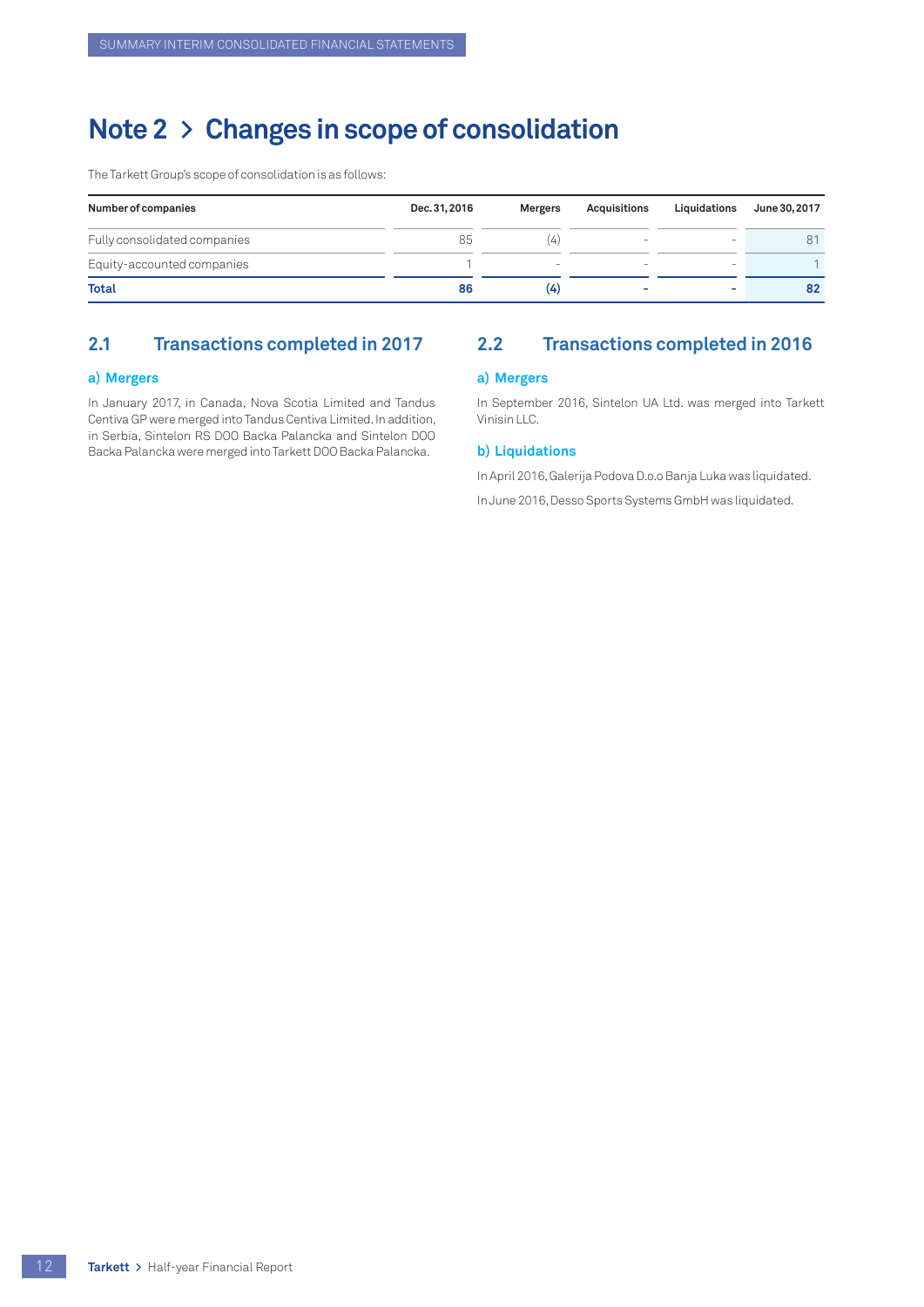# <span id="page-13-0"></span>**Note 2 > Changes in scope of consolidation**

The Tarkett Group's scope of consolidation is as follows:

| Number of companies          | Dec. 31, 2016 | Mergers | Acquisitions             | Liquidations | June 30, 2017 |
|------------------------------|---------------|---------|--------------------------|--------------|---------------|
| Fully consolidated companies | 85            |         | $\overline{\phantom{a}}$ | -            |               |
| Equity-accounted companies   |               |         |                          | -            |               |
| <b>Total</b>                 | 86            | (4)     | $\overline{\phantom{a}}$ | ۰            | 82            |

## **2.1 Transactions completed in 2017**

#### **a) Mergers**

In January 2017, in Canada, Nova Scotia Limited and Tandus Centiva GP were merged into Tandus Centiva Limited. In addition, in Serbia, Sintelon RS DOO Backa Palancka and Sintelon DOO Backa Palancka were merged into Tarkett DOO Backa Palancka.

## **2.2 Transactions completed in 2016**

#### **a) Mergers**

In September 2016, Sintelon UA Ltd. was merged into Tarkett Vinisin LLC.

#### **b) Liquidations**

In April 2016, Galerija Podova D.o.o Banja Luka was liquidated.

In June 2016, Desso Sports Systems GmbH was liquidated.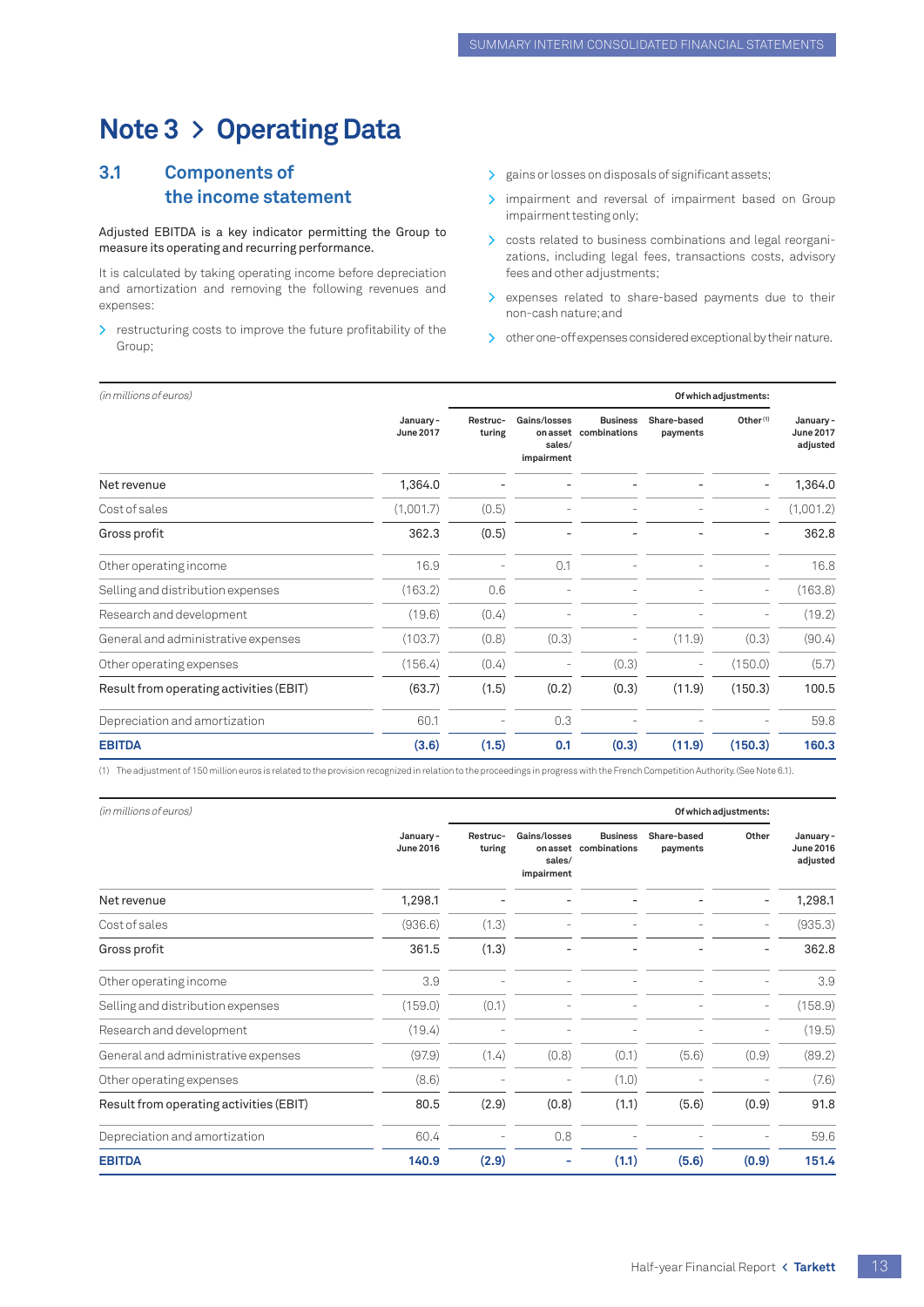# <span id="page-14-0"></span>**Note 3 > Operating Data**

## **3.1 Components of the income statement**

#### Adjusted EBITDA is a key indicator permitting the Group to measure its operating and recurring performance.

It is calculated by taking operating income before depreciation and amortization and removing the following revenues and expenses:

> restructuring costs to improve the future profitability of the Group;

- > gains or losses on disposals of significant assets;
- > impairment and reversal of impairment based on Group impairment testing only;
- > costs related to business combinations and legal reorganizations, including legal fees, transactions costs, advisory fees and other adjustments;
- > expenses related to share-based payments due to their non-cash nature; and
- > other one-off expenses considered exceptional by their nature.

| (in millions of euros)                  |                              |                    | Of which adjustments:                            |                                 |                         |                          |                                          |
|-----------------------------------------|------------------------------|--------------------|--------------------------------------------------|---------------------------------|-------------------------|--------------------------|------------------------------------------|
|                                         | January-<br><b>June 2017</b> | Restruc-<br>turing | Gains/losses<br>on asset<br>sales/<br>impairment | <b>Business</b><br>combinations | Share-based<br>payments | Other <sup>(1)</sup>     | January-<br><b>June 2017</b><br>adjusted |
| Net revenue                             | 1,364.0                      |                    |                                                  |                                 |                         |                          | 1,364.0                                  |
| Cost of sales                           | (1,001.7)                    | (0.5)              |                                                  |                                 |                         | $\overline{\phantom{0}}$ | (1,001.2)                                |
| Gross profit                            | 362.3                        | (0.5)              |                                                  |                                 |                         | $\overline{a}$           | 362.8                                    |
| Other operating income                  | 16.9                         |                    | 0.1                                              |                                 |                         |                          | 16.8                                     |
| Selling and distribution expenses       | (163.2)                      | 0.6                |                                                  |                                 |                         | $\overline{a}$           | (163.8)                                  |
| Research and development                | (19.6)                       | (0.4)              |                                                  |                                 |                         |                          | (19.2)                                   |
| General and administrative expenses     | (103.7)                      | (0.8)              | (0.3)                                            |                                 | (11.9)                  | (0.3)                    | (90.4)                                   |
| Other operating expenses                | (156.4)                      | (0.4)              |                                                  | (0.3)                           |                         | (150.0)                  | (5.7)                                    |
| Result from operating activities (EBIT) | (63.7)                       | (1.5)              | (0.2)                                            | (0.3)                           | (11.9)                  | (150.3)                  | 100.5                                    |
| Depreciation and amortization           | 60.1                         |                    | 0.3                                              |                                 |                         |                          | 59.8                                     |
| <b>EBITDA</b>                           | (3.6)                        | (1.5)              | 0.1                                              | (0.3)                           | (11.9)                  | (150.3)                  | 160.3                                    |

(1) The adjustment of 150 million euros is related to the provision recognized in relation to the proceedings in progress with the French Competition Authority. (See Note 6.1).

| (in millions of euros)                  |                              |                    |                                                  |                                 |                         | Of which adjustments:    |                                          |  |
|-----------------------------------------|------------------------------|--------------------|--------------------------------------------------|---------------------------------|-------------------------|--------------------------|------------------------------------------|--|
|                                         | January-<br><b>June 2016</b> | Restruc-<br>turing | Gains/losses<br>on asset<br>sales/<br>impairment | <b>Business</b><br>combinations | Share-based<br>payments | Other                    | January-<br><b>June 2016</b><br>adjusted |  |
| Net revenue                             | 1,298.1                      |                    |                                                  |                                 |                         |                          | 1,298.1                                  |  |
| Cost of sales                           | (936.6)                      | (1.3)              |                                                  |                                 |                         | $\overline{\phantom{m}}$ | (935.3)                                  |  |
| Gross profit                            | 361.5                        | (1.3)              |                                                  |                                 |                         |                          | 362.8                                    |  |
| Other operating income                  | 3.9                          |                    |                                                  |                                 |                         |                          | 3.9                                      |  |
| Selling and distribution expenses       | (159.0)                      | (0.1)              |                                                  |                                 |                         | $\overline{\phantom{a}}$ | (158.9)                                  |  |
| Research and development                | (19.4)                       |                    |                                                  |                                 |                         |                          | (19.5)                                   |  |
| General and administrative expenses     | (97.9)                       | (1.4)              | (0.8)                                            | (0.1)                           | (5.6)                   | (0.9)                    | (89.2)                                   |  |
| Other operating expenses                | (8.6)                        |                    |                                                  | (1.0)                           |                         |                          | (7.6)                                    |  |
| Result from operating activities (EBIT) | 80.5                         | (2.9)              | (0.8)                                            | (1.1)                           | (5.6)                   | (0.9)                    | 91.8                                     |  |
| Depreciation and amortization           | 60.4                         |                    | 0.8                                              |                                 |                         |                          | 59.6                                     |  |
| <b>EBITDA</b>                           | 140.9                        | (2.9)              |                                                  | (1.1)                           | (5.6)                   | (0.9)                    | 151.4                                    |  |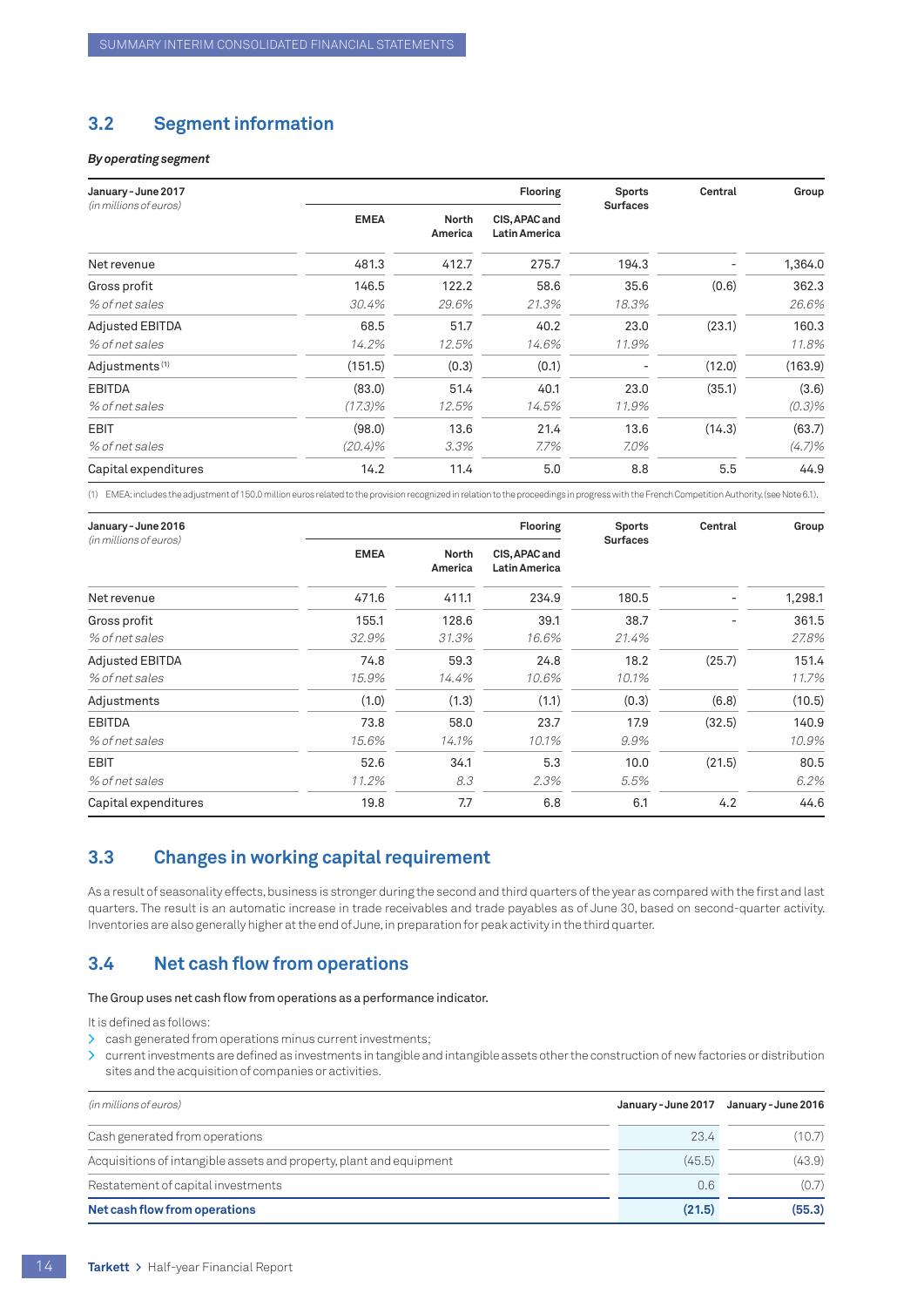## <span id="page-15-0"></span>**3.2 Segment information**

#### *By operating segment*

| January - June 2017<br>(in millions of euros) |             |                         | <b>Flooring</b>                | <b>Sports</b><br><b>Surfaces</b> | Central | Group     |
|-----------------------------------------------|-------------|-------------------------|--------------------------------|----------------------------------|---------|-----------|
|                                               | <b>EMEA</b> | <b>North</b><br>America | CIS, APAC and<br>Latin America |                                  |         |           |
| Net revenue                                   | 481.3       | 412.7                   | 275.7                          | 194.3                            |         | 1,364.0   |
| Gross profit                                  | 146.5       | 122.2                   | 58.6                           | 35.6                             | (0.6)   | 362.3     |
| % of net sales                                | 30.4%       | 29.6%                   | 21.3%                          | 18.3%                            |         | 26.6%     |
| <b>Adjusted EBITDA</b>                        | 68.5        | 51.7                    | 40.2                           | 23.0                             | (23.1)  | 160.3     |
| % of net sales                                | 14.2%       | 12.5%                   | 14.6%                          | 11.9%                            |         | 11.8%     |
| Adjustments <sup>(1)</sup>                    | (151.5)     | (0.3)                   | (0.1)                          |                                  | (12.0)  | (163.9)   |
| <b>EBITDA</b>                                 | (83.0)      | 51.4                    | 40.1                           | 23.0                             | (35.1)  | (3.6)     |
| % of net sales                                | $(17.3)\%$  | 12.5%                   | 14.5%                          | 11.9%                            |         | $(0.3)\%$ |
| <b>EBIT</b>                                   | (98.0)      | 13.6                    | 21.4                           | 13.6                             | (14.3)  | (63.7)    |
| % of net sales                                | $(20.4)\%$  | 3.3%                    | 7.7%                           | 7.0%                             |         | $(4.7)\%$ |
| Capital expenditures                          | 14.2        | 11.4                    | 5.0                            | 8.8                              | 5.5     | 44.9      |

(1) EMEA: includes the adjustment of 150.0 million euros related to the provision recognized in relation to the proceedings in progress with the French Competition Authority. (see Note 6.1).

| January - June 2016<br>(in millions of euros) |             |                  | <b>Flooring</b>                | <b>Sports</b><br><b>Surfaces</b> | Central | Group   |
|-----------------------------------------------|-------------|------------------|--------------------------------|----------------------------------|---------|---------|
|                                               | <b>EMEA</b> | North<br>America | CIS, APAC and<br>Latin America |                                  |         |         |
| Net revenue                                   | 471.6       | 411.1            | 234.9                          | 180.5                            |         | 1,298.1 |
| Gross profit                                  | 155.1       | 128.6            | 39.1                           | 38.7                             | -       | 361.5   |
| % of net sales                                | 32.9%       | 31.3%            | 16.6%                          | 21.4%                            |         | 27.8%   |
| <b>Adjusted EBITDA</b>                        | 74.8        | 59.3             | 24.8                           | 18.2                             | (25.7)  | 151.4   |
| % of net sales                                | 15.9%       | 14.4%            | 10.6%                          | 10.1%                            |         | 11.7%   |
| Adjustments                                   | (1.0)       | (1.3)            | (1.1)                          | (0.3)                            | (6.8)   | (10.5)  |
| <b>EBITDA</b>                                 | 73.8        | 58.0             | 23.7                           | 17.9                             | (32.5)  | 140.9   |
| % of net sales                                | 15.6%       | 14.1%            | 10.1%                          | 9.9%                             |         | 10.9%   |
| <b>EBIT</b>                                   | 52.6        | 34.1             | 5.3                            | 10.0                             | (21.5)  | 80.5    |
| % of net sales                                | 11.2%       | 8.3              | 2.3%                           | 5.5%                             |         | 6.2%    |
| Capital expenditures                          | 19.8        | 7.7              | 6.8                            | 6.1                              | 4.2     | 44.6    |

## **3.3 Changes in working capital requirement**

As a result of seasonality effects, business is stronger during the second and third quarters of the year as compared with the first and last quarters. The result is an automatic increase in trade receivables and trade payables as of June 30, based on second-quarter activity. Inventories are also generally higher at the end of June, in preparation for peak activity in the third quarter.

## **3.4 Net cash flow from operations**

#### The Group uses net cash flow from operations as a performance indicator.

It is defined as follows:

- > cash generated from operations minus current investments;
- current investments are defined as investments in tangible and intangible assets other the construction of new factories or distribution sites and the acquisition of companies or activities.

| (in millions of euros)                                              | January - June 2017 | January - June 2016 |
|---------------------------------------------------------------------|---------------------|---------------------|
| Cash generated from operations                                      | 23.4                | (10.7)              |
| Acquisitions of intangible assets and property, plant and equipment | (45.5)              | (43.9)              |
| Restatement of capital investments                                  | 0.6                 | (0.7)               |
| Net cash flow from operations                                       | (21.5)              | (55.3)              |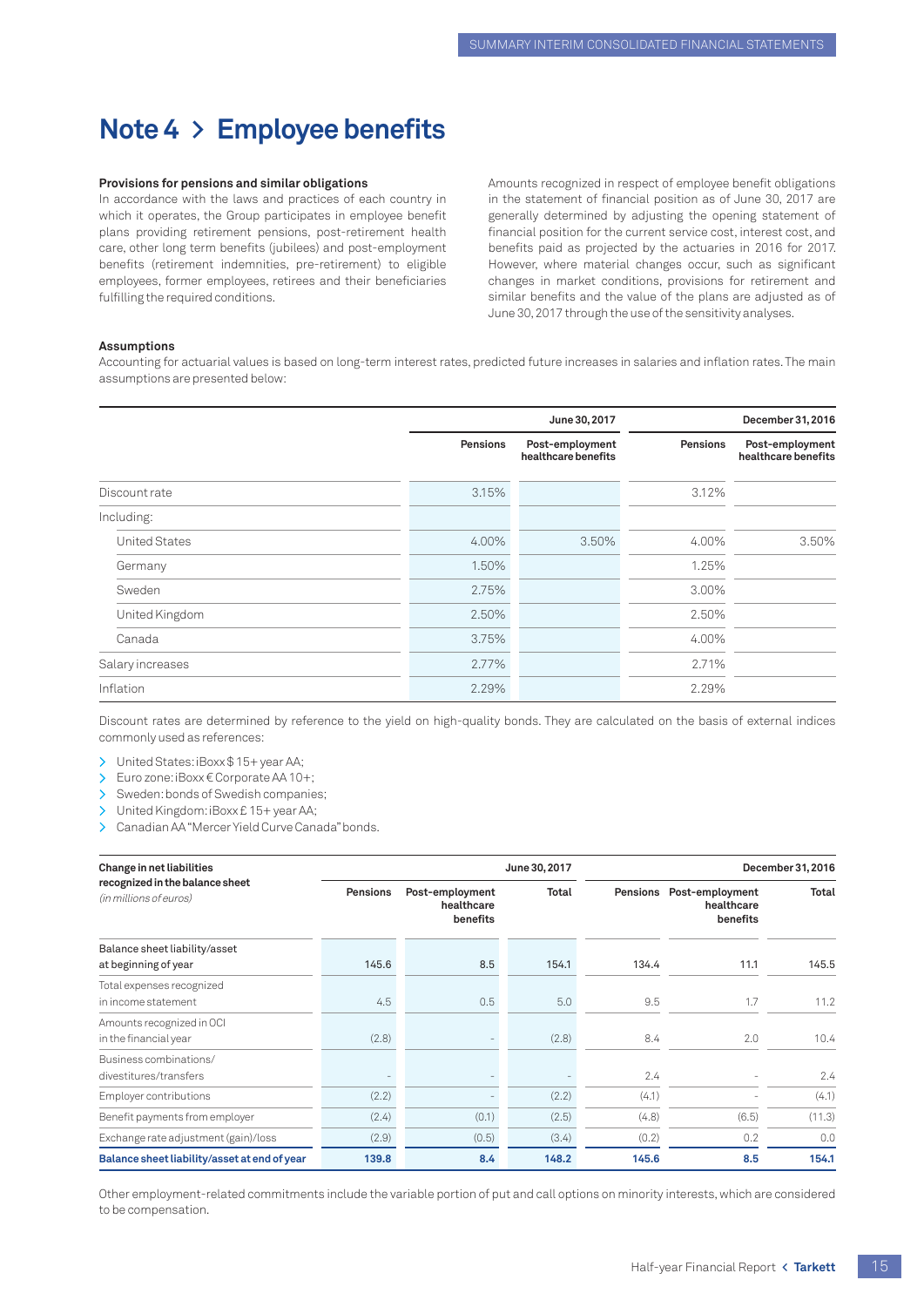# <span id="page-16-0"></span>**Note 4 > Employee benefits**

#### **Provisions for pensions and similar obligations**

In accordance with the laws and practices of each country in which it operates, the Group participates in employee benefit plans providing retirement pensions, post-retirement health care, other long term benefits (jubilees) and post-employment benefits (retirement indemnities, pre-retirement) to eligible employees, former employees, retirees and their beneficiaries fulfilling the required conditions.

Amounts recognized in respect of employee benefit obligations in the statement of financial position as of June 30, 2017 are generally determined by adjusting the opening statement of financial position for the current service cost, interest cost, and benefits paid as projected by the actuaries in 2016 for 2017. However, where material changes occur, such as significant changes in market conditions, provisions for retirement and similar benefits and the value of the plans are adjusted as of June 30, 2017 through the use of the sensitivity analyses.

#### **Assumptions**

Accounting for actuarial values is based on long-term interest rates, predicted future increases in salaries and inflation rates. The main assumptions are presented below:

|                      |          | June 30, 2017                          |          | December 31, 2016                      |
|----------------------|----------|----------------------------------------|----------|----------------------------------------|
|                      | Pensions | Post-employment<br>healthcare benefits | Pensions | Post-employment<br>healthcare benefits |
| Discount rate        | 3.15%    |                                        | 3.12%    |                                        |
| Including:           |          |                                        |          |                                        |
| <b>United States</b> | 4.00%    | 3.50%                                  | 4.00%    | 3.50%                                  |
| Germany              | 1.50%    |                                        | 1.25%    |                                        |
| Sweden               | 2.75%    |                                        | 3.00%    |                                        |
| United Kingdom       | 2.50%    |                                        | 2.50%    |                                        |
| Canada               | 3.75%    |                                        | 4.00%    |                                        |
| Salary increases     | 2.77%    |                                        | 2.71%    |                                        |
| Inflation            | 2.29%    |                                        | 2.29%    |                                        |

Discount rates are determined by reference to the yield on high-quality bonds. They are calculated on the basis of external indices commonly used as references:

> United States: iBoxx \$15+ year AA;

> Euro zone: iBoxx € Corporate AA 10+;

> Sweden: bonds of Swedish companies;

> United Kingdom: iBoxx £ 15+ year AA;

> Canadian AA "Mercer Yield Curve Canada" bonds.

| Change in net liabilities                                 |                                                              |               | June 30, 2017<br>December 31, 2016 |          |                                           |        |
|-----------------------------------------------------------|--------------------------------------------------------------|---------------|------------------------------------|----------|-------------------------------------------|--------|
| recognized in the balance sheet<br>(in millions of euros) | <b>Pensions</b><br>Post-employment<br>healthcare<br>benefits |               | <b>Total</b>                       | Pensions | Post-employment<br>healthcare<br>benefits | Total  |
| Balance sheet liability/asset                             |                                                              |               |                                    |          |                                           |        |
| at beginning of year                                      | 145.6                                                        | 8.5           | 154.1                              | 134.4    | 11.1                                      | 145.5  |
| Total expenses recognized                                 |                                                              |               |                                    |          |                                           |        |
| in income statement                                       | 4.5                                                          | 0.5           | 5.0                                | 9.5      | 1.7                                       | 11.2   |
| Amounts recognized in OCI                                 |                                                              |               |                                    |          |                                           |        |
| in the financial year                                     | (2.8)                                                        |               | (2.8)                              | 8.4      | 2.0                                       | 10.4   |
| Business combinations/                                    |                                                              |               |                                    |          |                                           |        |
| divestitures/transfers                                    |                                                              |               |                                    | 2.4      |                                           | 2.4    |
| Employer contributions                                    | (2.2)                                                        |               | (2.2)                              | (4.1)    |                                           | (4.1)  |
| Benefit payments from employer                            | (2.4)                                                        | (0.1)         | (2.5)                              | (4.8)    | (6.5)                                     | (11.3) |
| Exchange rate adjustment (gain)/loss                      | (2.9)                                                        | (0.5)         | (3.4)                              | (0.2)    | 0.2                                       | 0.0    |
| Balance sheet liability/asset at end of year              | 139.8                                                        | $8.4^{\circ}$ | 148.2                              | 145.6    | 8.5                                       | 154.1  |

Other employment-related commitments include the variable portion of put and call options on minority interests, which are considered to be compensation.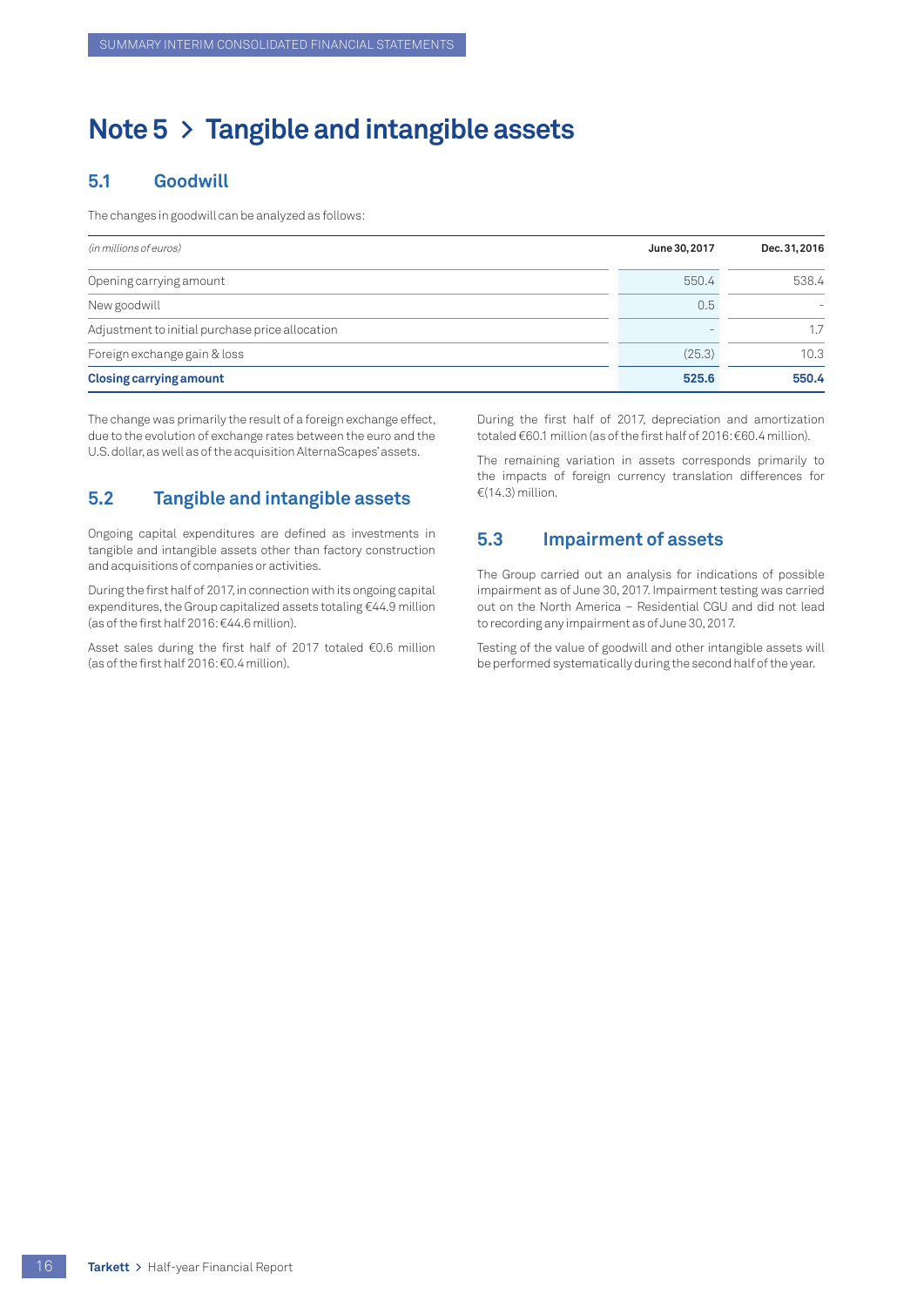# <span id="page-17-0"></span>**Note 5 > Tangible and intangible assets**

## **5.1 Goodwill**

The changes in goodwill can be analyzed as follows:

| (in millions of euros)                          | June 30, 2017 | Dec. 31, 2016 |
|-------------------------------------------------|---------------|---------------|
| Opening carrying amount                         | 550.4         | 538.4         |
| New goodwill                                    | 0.5           |               |
| Adjustment to initial purchase price allocation |               | 1.7           |
| Foreign exchange gain & loss                    | (25.3)        | 10.3          |
| <b>Closing carrying amount</b>                  | 525.6         | 550.4         |

The change was primarily the result of a foreign exchange effect, due to the evolution of exchange rates between the euro and the U.S. dollar, as well as of the acquisition AlternaScapes' assets.

## **5.2 Tangible and intangible assets**

Ongoing capital expenditures are defined as investments in tangible and intangible assets other than factory construction and acquisitions of companies or activities.

During the first half of 2017, in connection with its ongoing capital expenditures, the Group capitalized assets totaling €44.9 million (as of the first half 2016: €44.6 million).

Asset sales during the first half of 2017 totaled €0.6 million (as of the first half 2016: €0.4 million).

During the first half of 2017, depreciation and amortization totaled €60.1 million (as of the first half of 2016: €60.4 million).

The remaining variation in assets corresponds primarily to the impacts of foreign currency translation differences for €(14.3) million.

## **5.3 Impairment of assets**

The Group carried out an analysis for indications of possible impairment as of June 30, 2017. Impairment testing was carried out on the North America – Residential CGU and did not lead to recording any impairment as of June 30, 2017.

Testing of the value of goodwill and other intangible assets will be performed systematically during the second half of the year.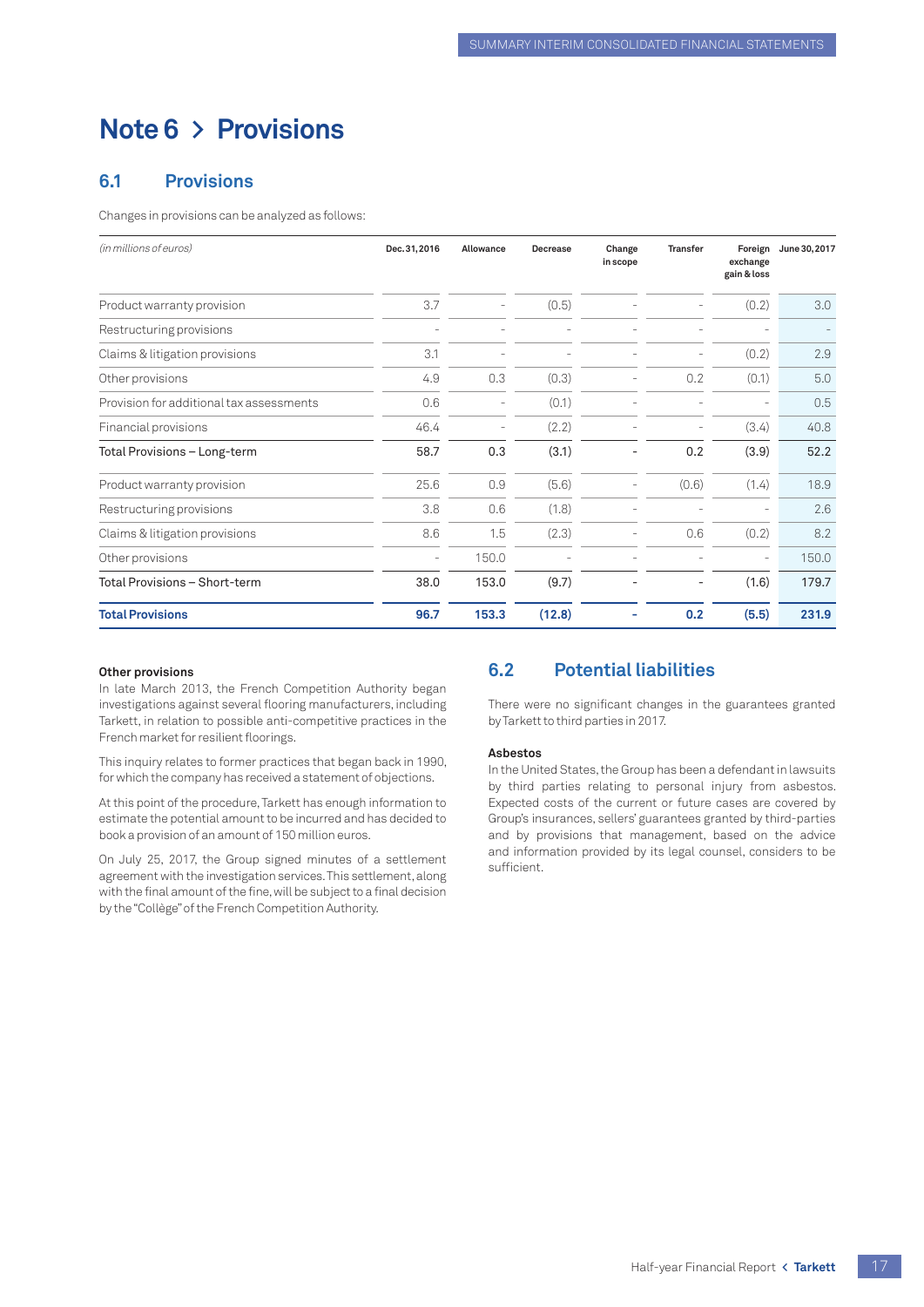# <span id="page-18-0"></span>**Note 6 > Provisions**

## **6.1 Provisions**

Changes in provisions can be analyzed as follows:

| (in millions of euros)                   | Dec. 31, 2016            | Allowance                | <b>Decrease</b> | Change<br>in scope | <b>Transfer</b> | Foreign<br>exchange<br>gain & loss | June 30, 2017 |
|------------------------------------------|--------------------------|--------------------------|-----------------|--------------------|-----------------|------------------------------------|---------------|
| Product warranty provision               | 3.7                      |                          | (0.5)           |                    |                 | (0.2)                              | 3.0           |
| Restructuring provisions                 |                          |                          |                 |                    |                 |                                    |               |
| Claims & litigation provisions           | 3.1                      | $\overline{\phantom{0}}$ |                 |                    | ۰               | (0.2)                              | 2.9           |
| Other provisions                         | 4.9                      | 0.3                      | (0.3)           |                    | 0.2             | (0.1)                              | 5.0           |
| Provision for additional tax assessments | 0.6                      |                          | (0.1)           |                    |                 |                                    | 0.5           |
| Financial provisions                     | 46.4                     | $\overline{\phantom{0}}$ | (2.2)           |                    |                 | (3.4)                              | 40.8          |
| Total Provisions - Long-term             | 58.7                     | 0.3                      | (3.1)           |                    | 0.2             | (3.9)                              | 52.2          |
| Product warranty provision               | 25.6                     | 0.9                      | (5.6)           |                    | (0.6)           | (1.4)                              | 18.9          |
| Restructuring provisions                 | 3.8                      | 0.6                      | (1.8)           |                    |                 |                                    | 2.6           |
| Claims & litigation provisions           | 8.6                      | 1.5                      | (2.3)           |                    | 0.6             | (0.2)                              | 8.2           |
| Other provisions                         | $\overline{\phantom{0}}$ | 150.0                    |                 |                    |                 | $\overline{\phantom{a}}$           | 150.0         |
| Total Provisions – Short-term            | 38.0                     | 153.0                    | (9.7)           |                    |                 | (1.6)                              | 179.7         |
| <b>Total Provisions</b>                  | 96.7                     | 153.3                    | (12.8)          |                    | 0.2             | (5.5)                              | 231.9         |

#### **Other provisions**

In late March 2013, the French Competition Authority began investigations against several flooring manufacturers, including Tarkett, in relation to possible anti-competitive practices in the French market for resilient floorings.

This inquiry relates to former practices that began back in 1990, for which the company has received a statement of objections.

At this point of the procedure, Tarkett has enough information to estimate the potential amount to be incurred and has decided to book a provision of an amount of 150 million euros.

On July 25, 2017, the Group signed minutes of a settlement agreement with the investigation services. This settlement, along with the final amount of the fine, will be subject to a final decision by the "Collège" of the French Competition Authority.

## **6.2 Potential liabilities**

There were no significant changes in the guarantees granted by Tarkett to third parties in 2017.

#### **Asbestos**

In the United States, the Group has been a defendant in lawsuits by third parties relating to personal injury from asbestos. Expected costs of the current or future cases are covered by Group's insurances, sellers' guarantees granted by third-parties and by provisions that management, based on the advice and information provided by its legal counsel, considers to be sufficient.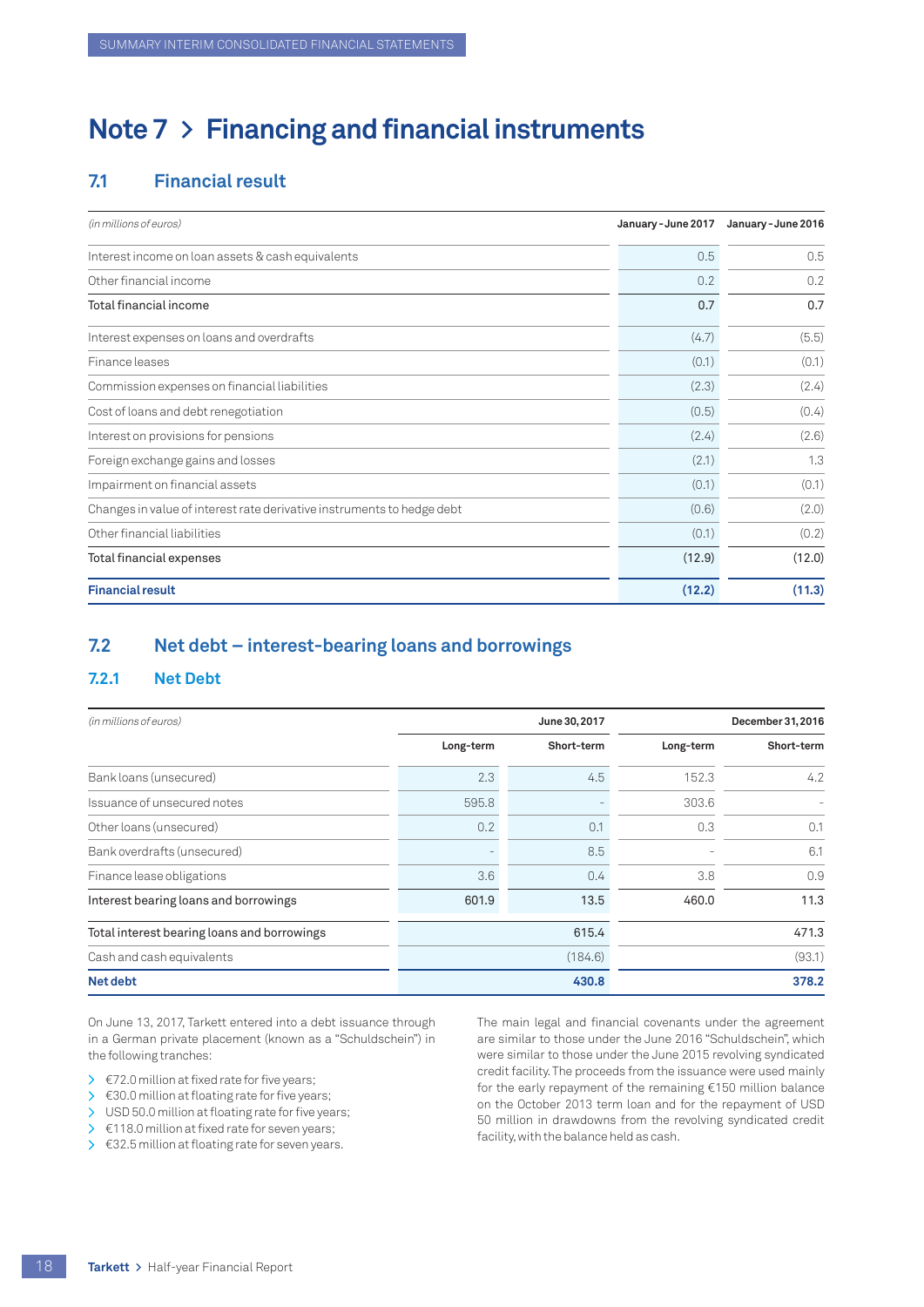# <span id="page-19-0"></span>**Note 7 > Financing and financial instruments**

## **7.1 Financial result**

| (in millions of euros)                                                 | January - June 2017 | January - June 2016 |
|------------------------------------------------------------------------|---------------------|---------------------|
| Interest income on loan assets & cash equivalents                      | 0.5                 | 0.5                 |
| Other financial income                                                 | 0.2                 | 0.2                 |
| Total financial income                                                 | 0.7                 | 0.7                 |
| Interest expenses on loans and overdrafts                              | (4.7)               | (5.5)               |
| Finance leases                                                         | (0.1)               | (0.1)               |
| Commission expenses on financial liabilities                           | (2.3)               | (2.4)               |
| Cost of loans and debt renegotiation                                   | (0.5)               | (0.4)               |
| Interest on provisions for pensions                                    | (2.4)               | (2.6)               |
| Foreign exchange gains and losses                                      | (2.1)               | 1.3                 |
| Impairment on financial assets                                         | (0.1)               | (0.1)               |
| Changes in value of interest rate derivative instruments to hedge debt | (0.6)               | (2.0)               |
| Other financial liabilities                                            | (0.1)               | (0.2)               |
| Total financial expenses                                               | (12.9)              | (12.0)              |
| <b>Financial result</b>                                                | (12.2)              | (11.3)              |

## **7.2 Net debt – interest-bearing loans and borrowings**

#### **7.2.1 Net Debt**

| (in millions of euros)                      |           | June 30, 2017 | December 31, 2016 |            |  |
|---------------------------------------------|-----------|---------------|-------------------|------------|--|
|                                             | Long-term | Short-term    | Long-term         | Short-term |  |
| Bank loans (unsecured)                      | 2.3       | 4.5           | 152.3             | 4.2        |  |
| Issuance of unsecured notes                 | 595.8     |               | 303.6             |            |  |
| Other loans (unsecured)                     | 0.2       | 0.1           | 0.3               | 0.1        |  |
| Bank overdrafts (unsecured)                 |           | 8.5           |                   | 6.1        |  |
| Finance lease obligations                   | 3.6       | 0.4           | 3.8               | 0.9        |  |
| Interest bearing loans and borrowings       | 601.9     | 13.5          | 460.0             | 11.3       |  |
| Total interest bearing loans and borrowings |           | 615.4         |                   | 471.3      |  |
| Cash and cash equivalents                   | (184.6)   |               |                   | (93.1)     |  |
| Net debt                                    |           | 430.8         |                   | 378.2      |  |

On June 13, 2017, Tarkett entered into a debt issuance through in a German private placement (known as a "Schuldschein") in the following tranches:

- $\geq$   $\in$  72.0 million at fixed rate for five years;
- $\geq$   $\in$  30.0 million at floating rate for five years;
- > USD 50.0 million at floating rate for five years;
- > €118.0 million at fixed rate for seven years;
- $\geq$   $\epsilon$ 32.5 million at floating rate for seven years.

The main legal and financial covenants under the agreement are similar to those under the June 2016 "Schuldschein", which were similar to those under the June 2015 revolving syndicated credit facility. The proceeds from the issuance were used mainly for the early repayment of the remaining €150 million balance on the October 2013 term loan and for the repayment of USD 50 million in drawdowns from the revolving syndicated credit facility, with the balance held as cash.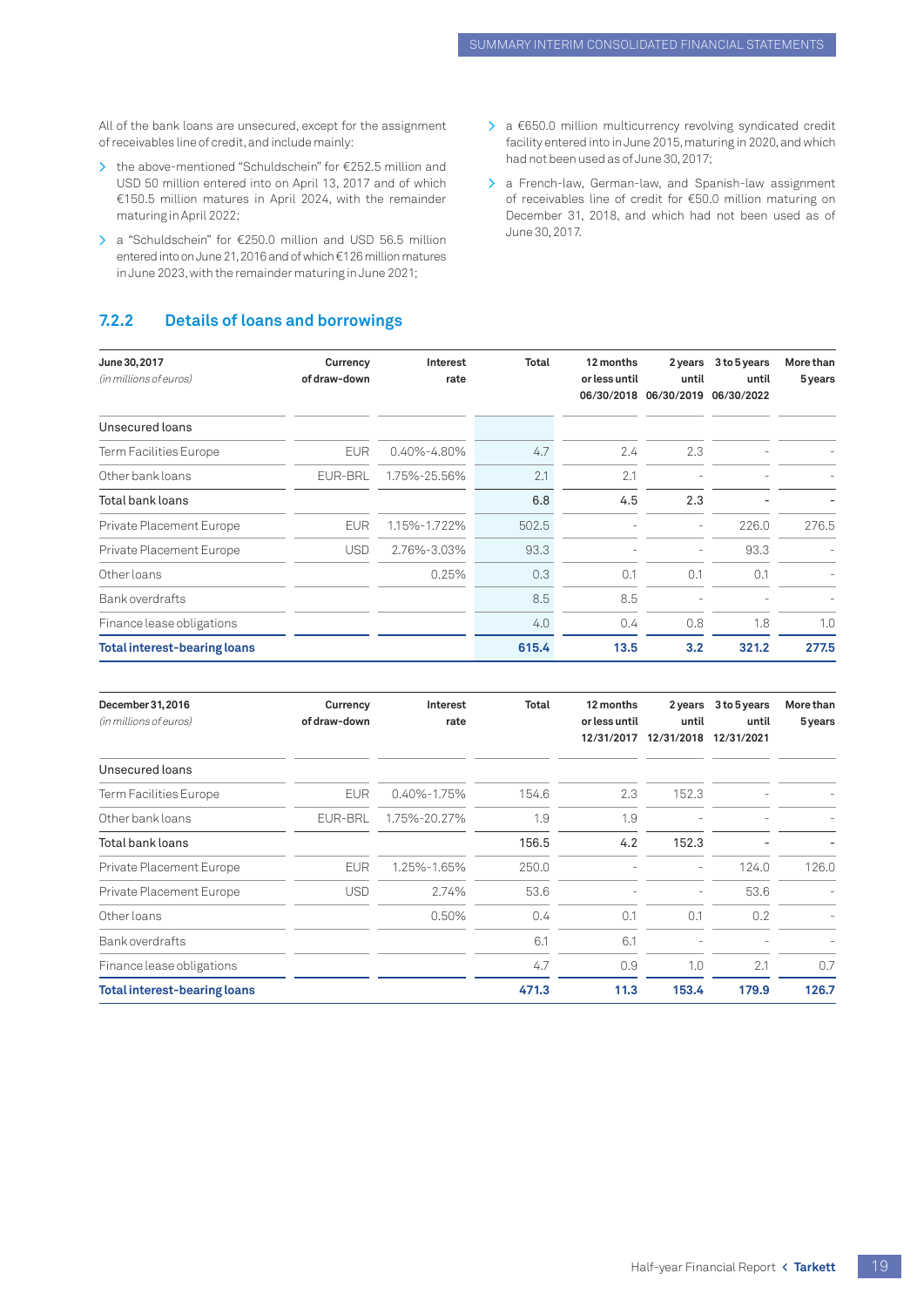All of the bank loans are unsecured, except for the assignment of receivables line of credit, and include mainly:

- > the above-mentioned "Schuldschein" for €252.5 million and USD 50 million entered into on April 13, 2017 and of which €150.5 million matures in April 2024, with the remainder maturing in April 2022;
- > a "Schuldschein" for €250.0 million and USD 56.5 million entered into on June 21, 2016 and of which €126 million matures in June 2023, with the remainder maturing in June 2021;

## **7.2.2 Details of loans and borrowings**

- > a €650.0 million multicurrency revolving syndicated credit facility entered into in June 2015, maturing in 2020, and which had not been used as of June 30, 2017;
- > a French-law, German-law, and Spanish-law assignment of receivables line of credit for €50.0 million maturing on December 31, 2018, and which had not been used as of June 30, 2017.

| June 30, 2017<br>(in millions of euros) | Currency<br>of draw-down | Interest<br>rate  | Total | 12 months<br>or less until | 2 years<br>until<br>06/30/2018 06/30/2019 06/30/2022 | 3 to 5 years<br>until | More than<br>5 years |
|-----------------------------------------|--------------------------|-------------------|-------|----------------------------|------------------------------------------------------|-----------------------|----------------------|
| Unsecured loans                         |                          |                   |       |                            |                                                      |                       |                      |
| Term Facilities Europe                  | <b>EUR</b>               | $0.40\% - 4.80\%$ | 4.7   | 2.4                        | 2.3                                                  |                       |                      |
| Other bank loans                        | EUR-BRL                  | 1.75%-25.56%      | 2.1   | 2.1                        |                                                      |                       |                      |
| Total bank loans                        |                          |                   | 6.8   | 4.5                        | 2.3                                                  |                       |                      |
| Private Placement Europe                | <b>EUR</b>               | 1.15%-1.722%      | 502.5 |                            |                                                      | 226.0                 | 276.5                |
| Private Placement Europe                | <b>USD</b>               | 2.76%-3.03%       | 93.3  |                            | ÷,                                                   | 93.3                  |                      |
| Other loans                             |                          | 0.25%             | 0.3   | 0.1                        | 0.1                                                  | 0.1                   |                      |
| Bank overdrafts                         |                          |                   | 8.5   | 8.5                        |                                                      |                       |                      |
| Finance lease obligations               |                          |                   | 4.0   | 0.4                        | 0.8                                                  | 1.8                   | 1.0                  |
| <b>Total interest-bearing loans</b>     |                          |                   | 615.4 | 13.5                       | 3.2                                                  | 321.2                 | 277.5                |

| December 31, 2016<br>(in millions of euros) | Currency<br>of draw-down | Interest<br>rate  | Total | 12 months<br>or less until<br>12/31/2017 | 2 years<br>until<br>12/31/2018 | 3 to 5 years<br>until<br>12/31/2021 | More than<br>5 years |
|---------------------------------------------|--------------------------|-------------------|-------|------------------------------------------|--------------------------------|-------------------------------------|----------------------|
| Unsecured loans                             |                          |                   |       |                                          |                                |                                     |                      |
| Term Facilities Europe                      | <b>EUR</b>               | $0.40\% - 1.75\%$ | 154.6 | 2.3                                      | 152.3                          |                                     |                      |
| Other bank loans                            | EUR-BRL                  | 1.75%-20.27%      | 1.9   | 1.9                                      |                                |                                     |                      |
| Total bank loans                            |                          |                   | 156.5 | 4.2                                      | 152.3                          |                                     |                      |
| Private Placement Europe                    | <b>EUR</b>               | 1.25%-1.65%       | 250.0 |                                          |                                | 124.0                               | 126.0                |
| Private Placement Europe                    | <b>USD</b>               | 2.74%             | 53.6  |                                          | $\overline{\phantom{0}}$       | 53.6                                |                      |
| Other loans                                 |                          | 0.50%             | 0.4   | 0.1                                      | 0.1                            | 0.2                                 |                      |
| Bank overdrafts                             |                          |                   | 6.1   | 6.1                                      |                                |                                     |                      |
| Finance lease obligations                   |                          |                   | 4.7   | 0.9                                      | 1.0                            | 2.1                                 | 0.7                  |
| <b>Total interest-bearing loans</b>         |                          |                   | 471.3 | 11.3                                     | 153.4                          | 179.9                               | 126.7                |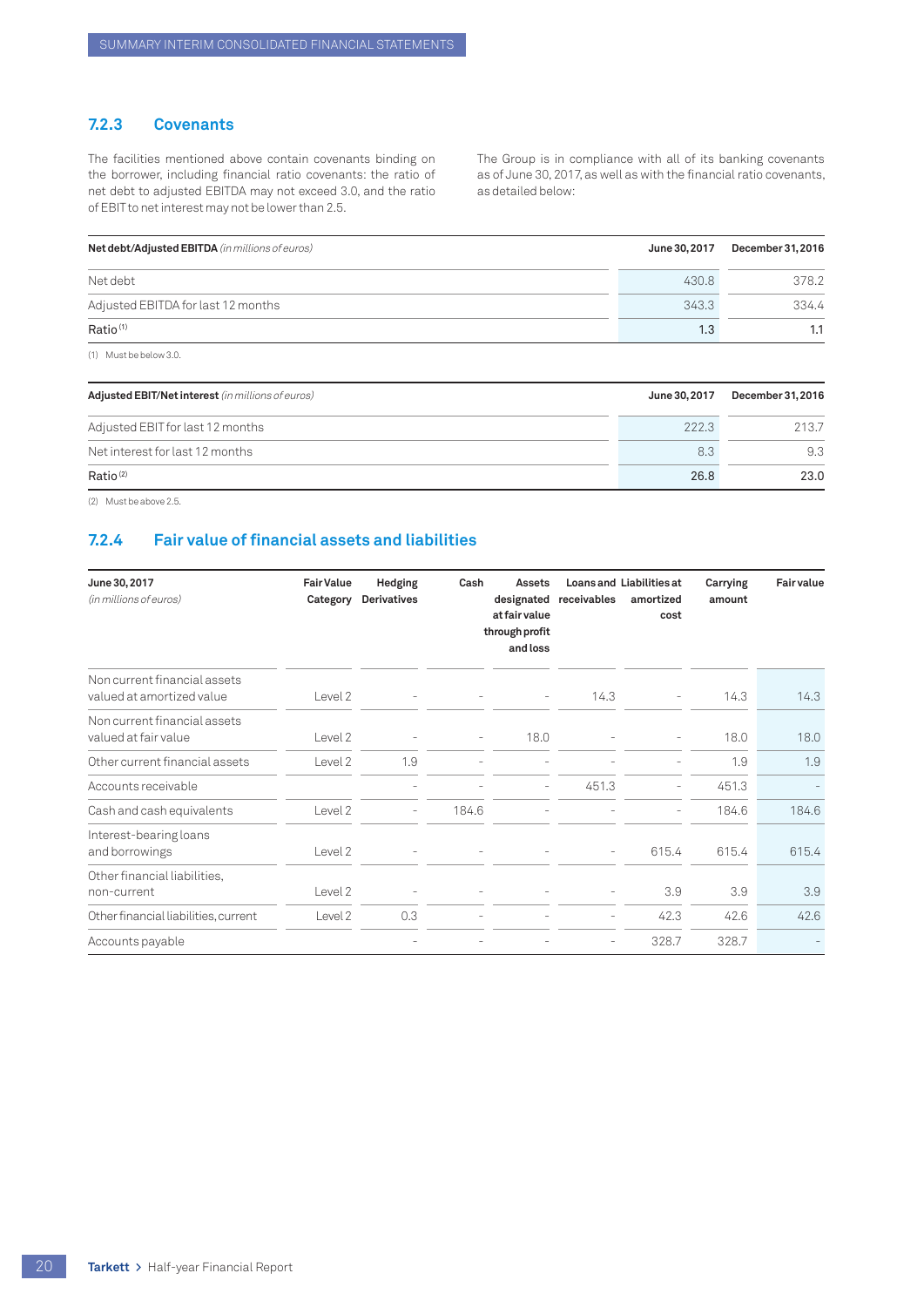## **7.2.3 Covenants**

The facilities mentioned above contain covenants binding on the borrower, including financial ratio covenants: the ratio of net debt to adjusted EBITDA may not exceed 3.0, and the ratio of EBIT to net interest may not be lower than 2.5.

The Group is in compliance with all of its banking covenants as of June 30, 2017, as well as with the financial ratio covenants, as detailed below:

| Net debt/Adjusted EBITDA (in millions of euros) | June 30, 2017 | December 31, 2016 |
|-------------------------------------------------|---------------|-------------------|
| Net debt                                        | 430.8         | 378.2             |
| Adjusted EBITDA for last 12 months              | 343.3         | 334.4             |
| Ratio <sup>(1)</sup>                            |               | 1.3               |
|                                                 |               |                   |

(1) Must be below 3.0.

| Adjusted EBIT/Net interest (in millions of euros) | June 30, 2017 | December 31, 2016 |
|---------------------------------------------------|---------------|-------------------|
| Adjusted EBIT for last 12 months                  | 222.3         | 213.7             |
| Net interest for last 12 months                   | 8.3           | 9.3               |
| Ratio <sup>(2)</sup>                              | 26.8          | 23.0              |

(2) Must be above 2.5.

## **7.2.4 Fair value of financial assets and liabilities**

| June 30, 2017<br>(in millions of euros)                   | <b>Fair Value</b><br>Category | Hedging<br><b>Derivatives</b> | Cash     | Assets<br>designated<br>at fair value<br>through profit<br>and loss | receivables              | <b>Loans and Liabilities at</b><br>amortized<br>cost | Carrying<br>amount | <b>Fair value</b> |
|-----------------------------------------------------------|-------------------------------|-------------------------------|----------|---------------------------------------------------------------------|--------------------------|------------------------------------------------------|--------------------|-------------------|
| Non current financial assets<br>valued at amortized value | Level 2                       |                               |          | $\bar{a}$                                                           | 14.3                     |                                                      | 14.3               | 14.3              |
| Non current financial assets<br>valued at fair value      | Level 2                       |                               | $\equiv$ | 18.0                                                                |                          |                                                      | 18.0               | 18.0              |
| Other current financial assets                            | Level 2                       | 1.9                           |          |                                                                     |                          |                                                      | 1.9                | 1.9               |
| Accounts receivable                                       |                               |                               |          | $\overline{a}$                                                      | 451.3                    |                                                      | 451.3              |                   |
| Cash and cash equivalents                                 | Level 2                       | $\overline{\phantom{a}}$      | 184.6    |                                                                     |                          |                                                      | 184.6              | 184.6             |
| Interest-bearing loans<br>and borrowings                  | Level 2                       | $\overline{\phantom{a}}$      |          | $\qquad \qquad -$                                                   | $\overline{\phantom{a}}$ | 615.4                                                | 615.4              | 615.4             |
| Other financial liabilities,<br>non-current               | Level 2                       | $\overline{a}$                |          |                                                                     | $\overline{\phantom{a}}$ | 3.9                                                  | 3.9                | 3.9               |
| Other financial liabilities, current                      | Level 2                       | 0.3                           |          |                                                                     | $\overline{\phantom{a}}$ | 42.3                                                 | 42.6               | 42.6              |
| Accounts payable                                          |                               |                               |          |                                                                     | $\overline{\phantom{0}}$ | 328.7                                                | 328.7              |                   |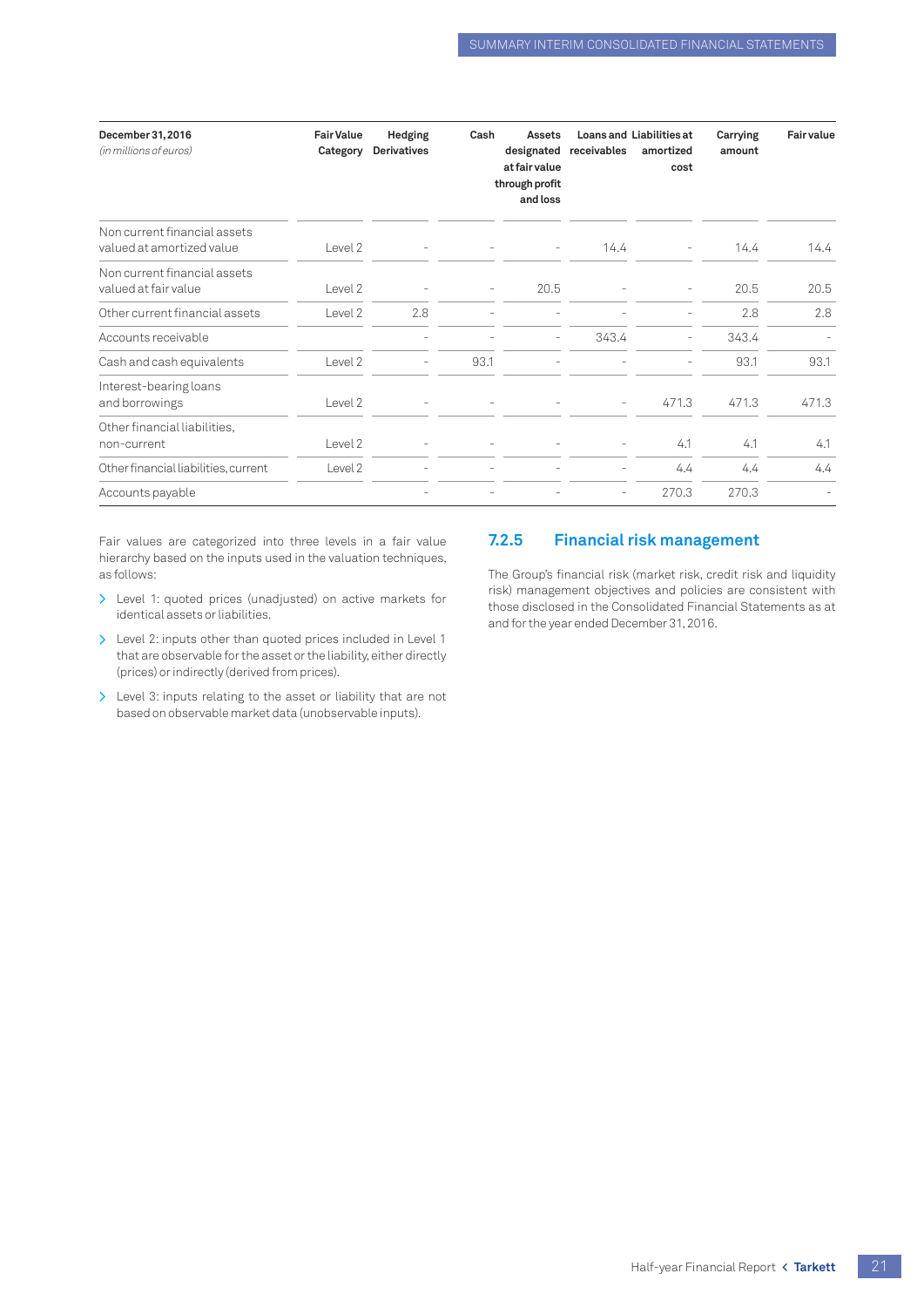| December 31, 2016<br>(in millions of euros)               | <b>Fair Value</b><br>Category | Hedging<br><b>Derivatives</b> | Cash | Assets<br>designated<br>at fair value<br>through profit<br>and loss | receivables              | <b>Loans and Liabilities at</b><br>amortized<br>cost | Carrying<br>amount | <b>Fair value</b> |
|-----------------------------------------------------------|-------------------------------|-------------------------------|------|---------------------------------------------------------------------|--------------------------|------------------------------------------------------|--------------------|-------------------|
| Non current financial assets<br>valued at amortized value | Level 2                       |                               |      | $\overline{\phantom{a}}$                                            | 14.4                     |                                                      | 14.4               | 14.4              |
| Non current financial assets<br>valued at fair value      | Level 2                       |                               |      | 20.5                                                                |                          |                                                      | 20.5               | 20.5              |
| Other current financial assets                            | Level 2                       | 2.8                           |      |                                                                     |                          |                                                      | 2.8                | 2.8               |
| Accounts receivable                                       |                               |                               |      | $\equiv$                                                            | 343.4                    |                                                      | 343.4              |                   |
| Cash and cash equivalents                                 | Level <sub>2</sub>            | ۰                             | 93.1 |                                                                     |                          |                                                      | 93.1               | 93.1              |
| Interest-bearing loans<br>and borrowings                  | Level 2                       |                               |      |                                                                     | $\sim$                   | 471.3                                                | 471.3              | 471.3             |
| Other financial liabilities,<br>non-current               | Level 2                       | $\overline{\phantom{a}}$      |      |                                                                     | $\overline{\phantom{a}}$ | 4.1                                                  | 4.1                | 4.1               |
| Other financial liabilities, current                      | Level 2                       |                               |      |                                                                     |                          | 4.4                                                  | 4.4                | 4.4               |
| Accounts payable                                          |                               |                               |      |                                                                     |                          | 270.3                                                | 270.3              |                   |

Fair values are categorized into three levels in a fair value hierarchy based on the inputs used in the valuation techniques, as follows:

- > Level 1: quoted prices (unadjusted) on active markets for identical assets or liabilities.
- > Level 2: inputs other than quoted prices included in Level 1 that are observable for the asset or the liability, either directly (prices) or indirectly (derived from prices).
- > Level 3: inputs relating to the asset or liability that are not based on observable market data (unobservable inputs).

### **7.2.5 Financial risk management**

The Group's financial risk (market risk, credit risk and liquidity risk) management objectives and policies are consistent with those disclosed in the Consolidated Financial Statements as at and for the year ended December 31, 2016.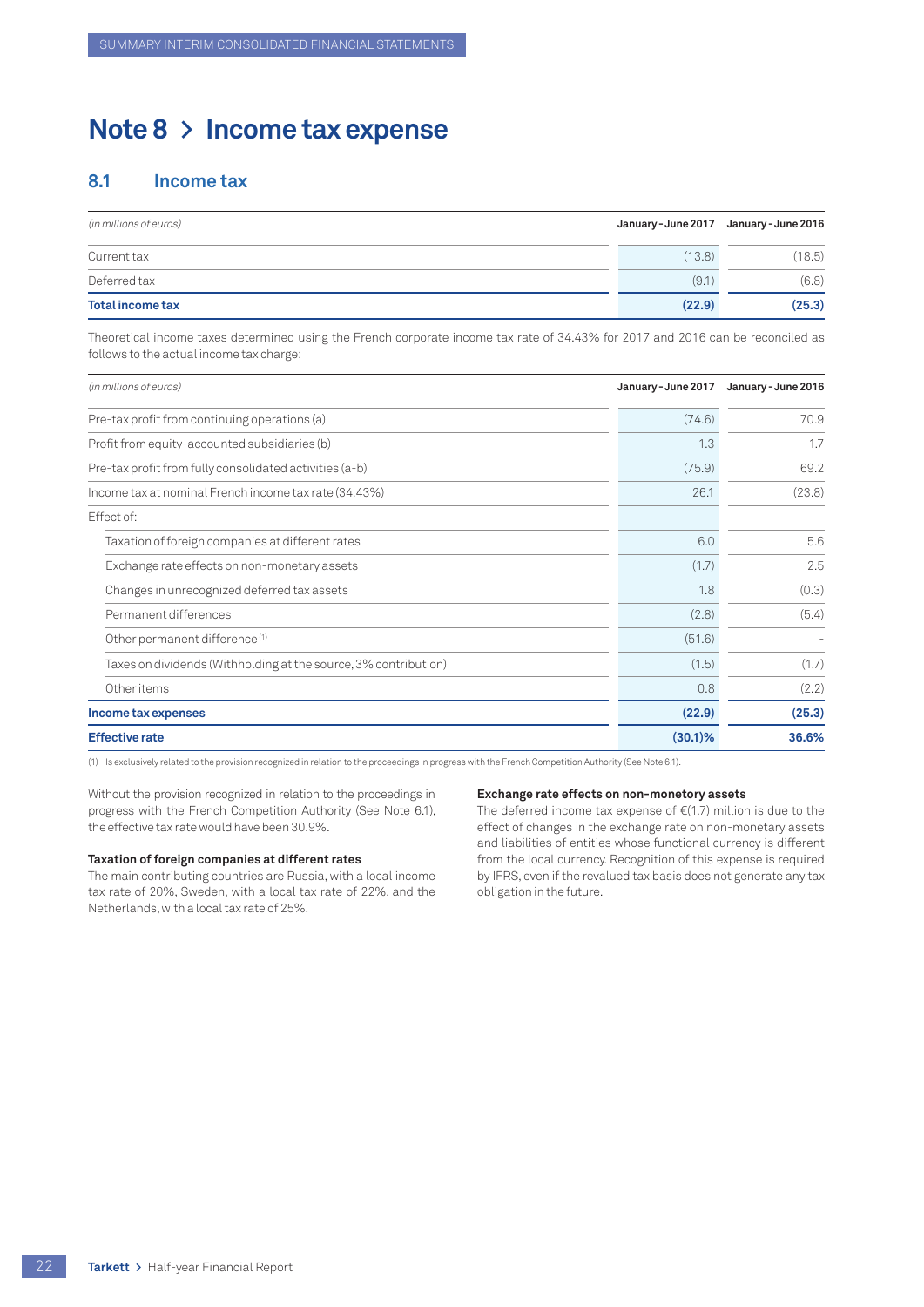## <span id="page-23-0"></span>**Note 8 > Income tax expense**

## **8.1 Income tax**

| (in millions of euros) |        | January-June 2017 January-June 2016 |
|------------------------|--------|-------------------------------------|
| Currenttax             | (13.8) | (18.5)                              |
| Deferred tax           | (9.1)  | (6.8)                               |
| Total income tax       | (22.9) | (25.3)                              |

Theoretical income taxes determined using the French corporate income tax rate of 34.43% for 2017 and 2016 can be reconciled as follows to the actual income tax charge:

| (in millions of euros)                                          | January - June 2017 | January - June 2016 |
|-----------------------------------------------------------------|---------------------|---------------------|
| Pre-tax profit from continuing operations (a)                   | (74.6)              | 70.9                |
| Profit from equity-accounted subsidiaries (b)                   | 1.3                 | 1.7                 |
| Pre-tax profit from fully consolidated activities (a-b)         | (75.9)              | 69.2                |
| Income tax at nominal French income tax rate (34.43%)           | 26.1                | (23.8)              |
| Effect of:                                                      |                     |                     |
| Taxation of foreign companies at different rates                | 6.0                 | 5.6                 |
| Exchange rate effects on non-monetary assets                    | (1.7)               | 2.5                 |
| Changes in unrecognized deferred tax assets                     | 1.8                 | (0.3)               |
| Permanent differences                                           | (2.8)               | (5.4)               |
| Other permanent difference <sup>(1)</sup>                       | (51.6)              |                     |
| Taxes on dividends (Withholding at the source, 3% contribution) | (1.5)               | (1.7)               |
| Other items                                                     | 0.8                 | (2.2)               |
| Income tax expenses                                             | (22.9)              | (25.3)              |
| <b>Effective rate</b>                                           | $(30.1)$ %          | 36.6%               |

(1) Is exclusively related to the provision recognized in relation to the proceedings in progress with the French Competition Authority (See Note 6.1).

Without the provision recognized in relation to the proceedings in progress with the French Competition Authority (See Note 6.1), the effective tax rate would have been 30.9%.

#### **Taxation of foreign companies at different rates**

The main contributing countries are Russia, with a local income tax rate of 20%, Sweden, with a local tax rate of 22%, and the Netherlands, with a local tax rate of 25%.

#### **Exchange rate effects on non-monetory assets**

The deferred income tax expense of  $E(1.7)$  million is due to the effect of changes in the exchange rate on non-monetary assets and liabilities of entities whose functional currency is different from the local currency. Recognition of this expense is required by IFRS, even if the revalued tax basis does not generate any tax obligation in the future.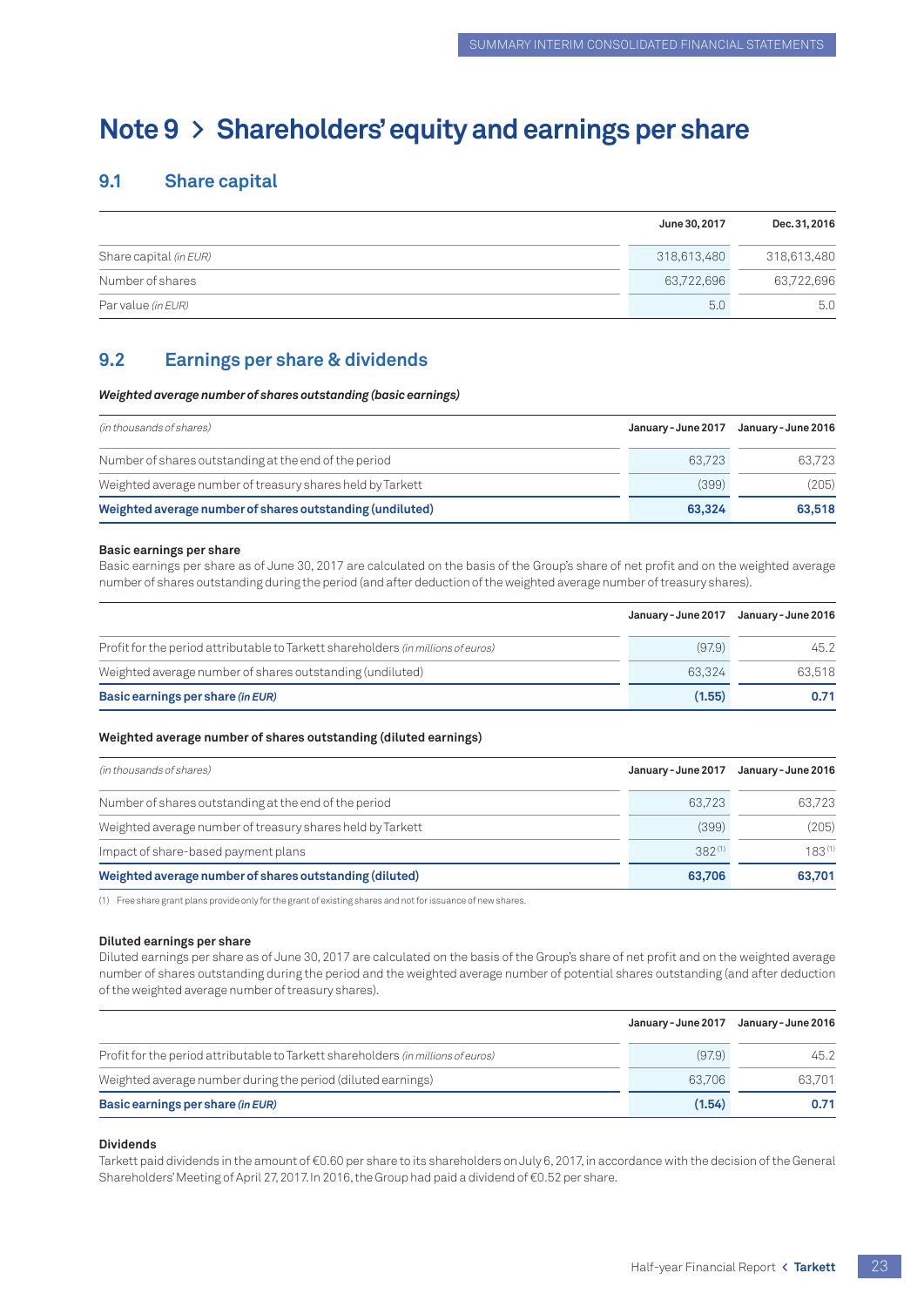# <span id="page-24-0"></span>**Note 9 > Shareholders' equity and earnings per share**

## **9.1 Share capital**

|                        | June 30, 2017 | Dec. 31, 2016 |
|------------------------|---------------|---------------|
| Share capital (in EUR) | 318.613.480   | 318,613,480   |
| Number of shares       | 63.722.696    | 63,722,696    |
| Par value (in EUR)     | 5.0           | 5.0           |

## **9.2 Earnings per share & dividends**

*Weighted average number of shares outstanding (basic earnings)*

| (in thousands of shares)                                   | January - June 2017 | January - June 2016 |
|------------------------------------------------------------|---------------------|---------------------|
| Number of shares outstanding at the end of the period      | 63.723              | 63.723              |
| Weighted average number of treasury shares held by Tarkett | (399)               | (205)               |
| Weighted average number of shares outstanding (undiluted)  | 63,324              | 63,518              |

#### **Basic earnings per share**

Basic earnings per share as of June 30, 2017 are calculated on the basis of the Group's share of net profit and on the weighted average number of shares outstanding during the period (and after deduction of the weighted average number of treasury shares).

|                                                                                   | January - June 2017 | January - June 2016 |
|-----------------------------------------------------------------------------------|---------------------|---------------------|
| Profit for the period attributable to Tarkett shareholders (in millions of euros) | (97.9)              | 45.2                |
| Weighted average number of shares outstanding (undiluted)                         | 63.324              | 63.518              |
| Basic earnings per share (in EUR)                                                 | (1.55)              | 0.71                |

#### **Weighted average number of shares outstanding (diluted earnings)**

| (in thousands of shares)                                   | January - June 2017 | January - June 2016 |
|------------------------------------------------------------|---------------------|---------------------|
| Number of shares outstanding at the end of the period      | 63.723              | 63.723              |
| Weighted average number of treasury shares held by Tarkett | (399)               | (205)               |
| Impact of share-based payment plans                        | $382^{(1)}$         | $183^{(1)}$         |
| Weighted average number of shares outstanding (diluted)    | 63,706              | 63,701              |

(1) Free share grant plans provide only for the grant of existing shares and not for issuance of new shares.

#### **Diluted earnings per share**

Diluted earnings per share as of June 30, 2017 are calculated on the basis of the Group's share of net profit and on the weighted average number of shares outstanding during the period and the weighted average number of potential shares outstanding (and after deduction of the weighted average number of treasury shares).

|                                                                                   | January - June 2017 | January - June 2016 |
|-----------------------------------------------------------------------------------|---------------------|---------------------|
| Profit for the period attributable to Tarkett shareholders (in millions of euros) | (97.9)              | 45.2                |
| Weighted average number during the period (diluted earnings)                      | 63.706              | 63.701              |
| Basic earnings per share (in EUR)                                                 | (1.54)              | 0.71                |

#### **Dividends**

Tarkett paid dividends in the amount of €0.60 per share to its shareholders on July 6, 2017, in accordance with the decision of the General Shareholders' Meeting of April 27, 2017. In 2016, the Group had paid a dividend of €0.52 per share.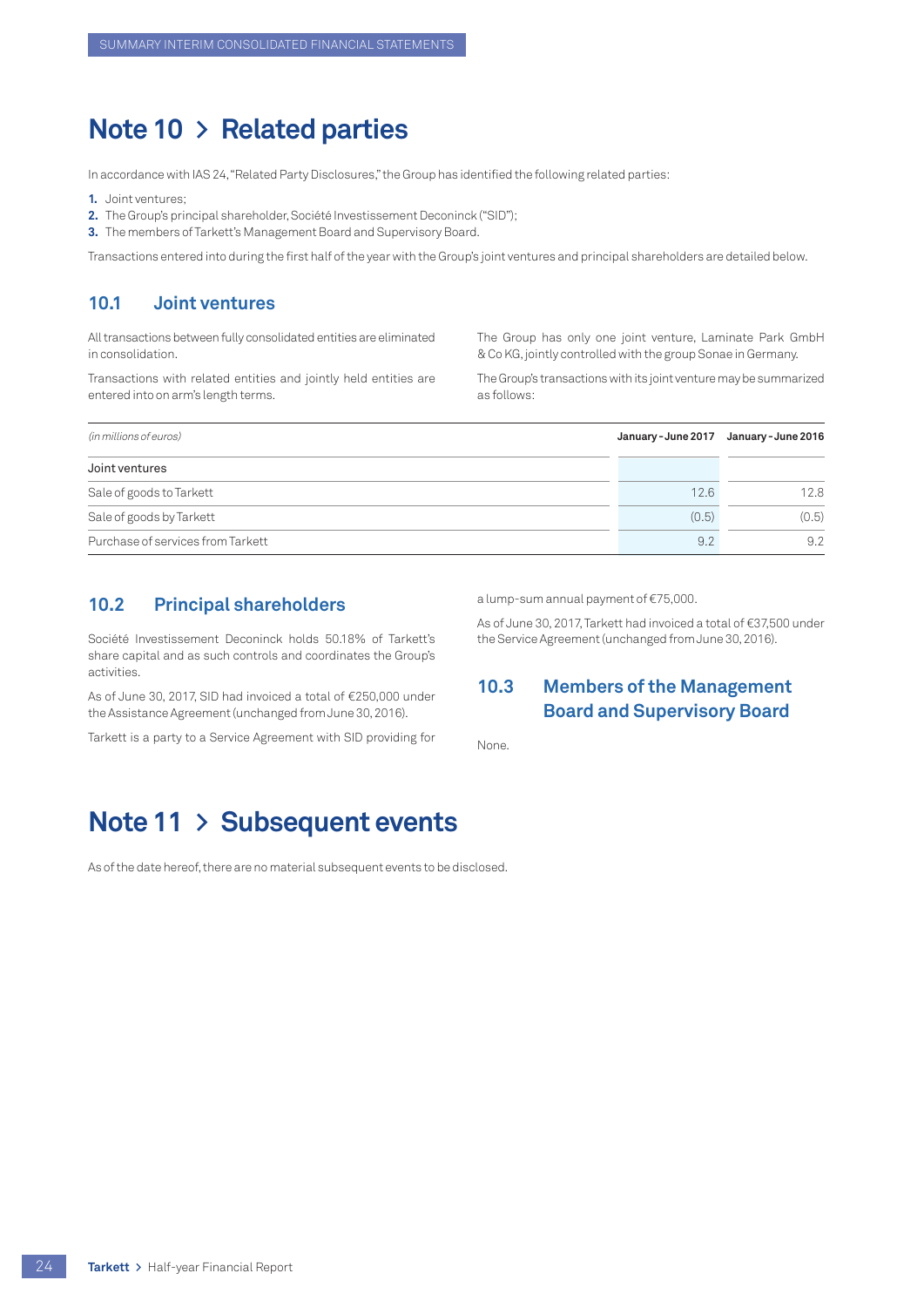## <span id="page-25-0"></span>**Note 10 > Related parties**

In accordance with IAS 24, "Related Party Disclosures," the Group has identified the following related parties:

**1.** Joint ventures;

- **2.** The Group's principal shareholder, Société Investissement Deconinck ("SID");
- **3.** The members of Tarkett's Management Board and Supervisory Board.

Transactions entered into during the first half of the year with the Group's joint ventures and principal shareholders are detailed below.

## **10.1 Joint ventures**

All transactions between fully consolidated entities are eliminated in consolidation.

Transactions with related entities and jointly held entities are entered into on arm's length terms.

The Group has only one joint venture, Laminate Park GmbH & Co KG, jointly controlled with the group Sonae in Germany.

The Group's transactions with its joint venture may be summarized as follows:

| (in millions of euros)            | January - June 2017 | January - June 2016 |
|-----------------------------------|---------------------|---------------------|
| Joint ventures                    |                     |                     |
| Sale of goods to Tarkett          | 12.6                | 12.8                |
| Sale of goods by Tarkett          | (0.5)               | (0.5)               |
| Purchase of services from Tarkett | 9.2                 | 9.2                 |

## **10.2 Principal shareholders**

Société Investissement Deconinck holds 50.18% of Tarkett's share capital and as such controls and coordinates the Group's activities.

As of June 30, 2017, SID had invoiced a total of €250,000 under the Assistance Agreement (unchanged from June 30, 2016).

Tarkett is a party to a Service Agreement with SID providing for

#### a lump-sum annual payment of €75,000.

As of June 30, 2017, Tarkett had invoiced a total of €37,500 under the Service Agreement (unchanged from June 30, 2016).

## **10.3 Members of the Management Board and Supervisory Board**

None.

## **Note 11 > Subsequent events**

As of the date hereof, there are no material subsequent events to be disclosed.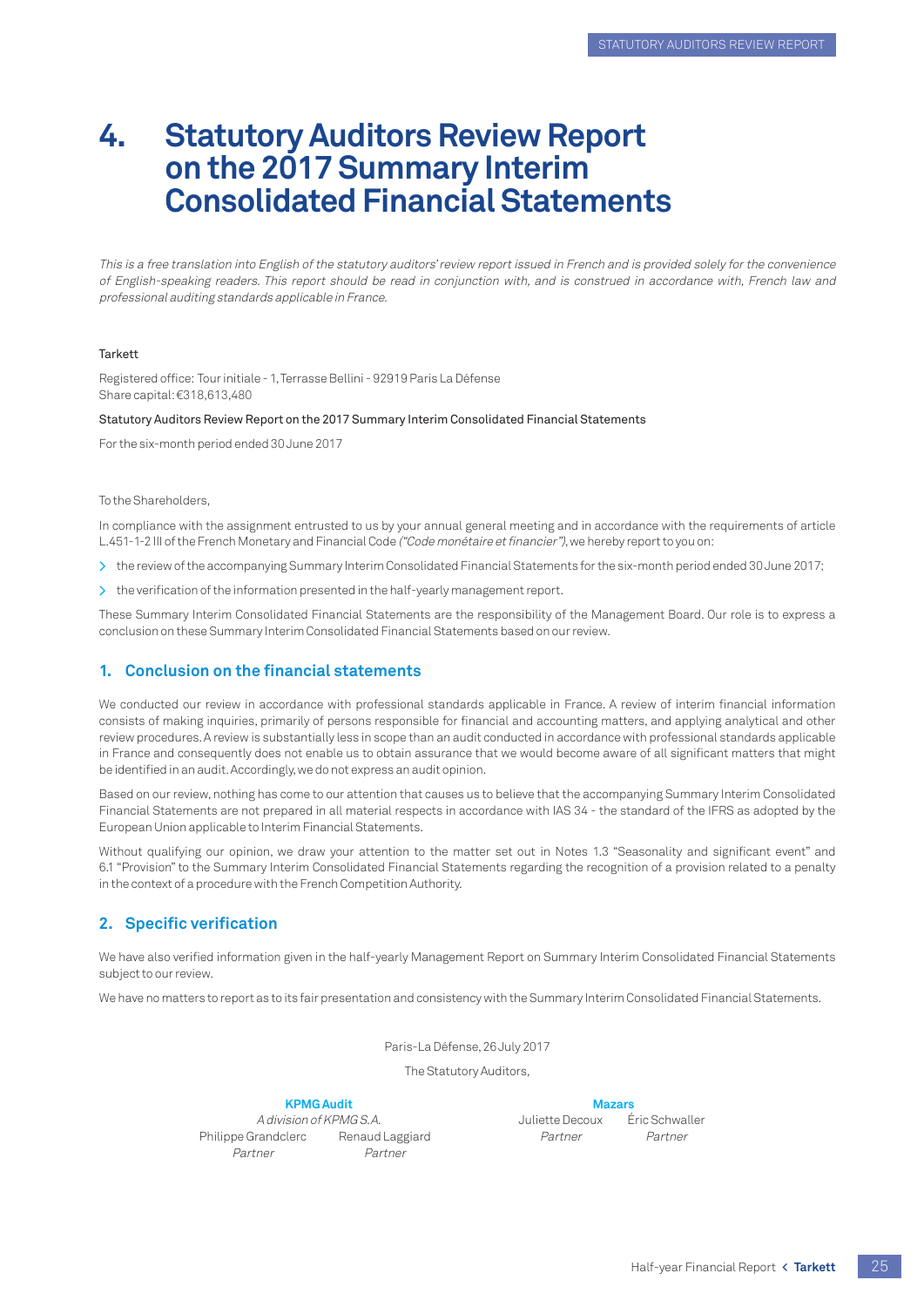# **4. Statutory Auditors Review Report on the 2017 Summary Interim Consolidated Financial Statements**

This is a free translation into English of the statutory auditors' review report issued in French and is provided solely for the convenience of English-speaking readers. This report should be read in conjunction with, and is construed in accordance with, French law and professional auditing standards applicable in France.

#### **Tarkett**

Registered office: Tour initiale - 1, Terrasse Bellini - 92919 Paris La Défense Share capital: €318,613,480

#### Statutory Auditors Review Report on the 2017 Summary Interim Consolidated Financial Statements

For the six-month period ended 30 June 2017

#### To the Shareholders,

In compliance with the assignment entrusted to us by your annual general meeting and in accordance with the requirements of article L.451-1-2 III of the French Monetary and Financial Code ("Code monétaire et financier"), we hereby report to you on:

- > the review of the accompanying Summary Interim Consolidated Financial Statements for the six-month period ended 30 June 2017;
- > the verification of the information presented in the half-yearly management report.

These Summary Interim Consolidated Financial Statements are the responsibility of the Management Board. Our role is to express a conclusion on these Summary Interim Consolidated Financial Statements based on our review.

#### **1. Conclusion on the financial statements**

We conducted our review in accordance with professional standards applicable in France. A review of interim financial information consists of making inquiries, primarily of persons responsible for financial and accounting matters, and applying analytical and other review procedures. A review is substantially less in scope than an audit conducted in accordance with professional standards applicable in France and consequently does not enable us to obtain assurance that we would become aware of all significant matters that might be identified in an audit. Accordingly, we do not express an audit opinion.

Based on our review, nothing has come to our attention that causes us to believe that the accompanying Summary Interim Consolidated Financial Statements are not prepared in all material respects in accordance with IAS 34 - the standard of the IFRS as adopted by the European Union applicable to Interim Financial Statements.

Without qualifying our opinion, we draw your attention to the matter set out in Notes 1.3 "Seasonality and significant event" and 6.1 "Provision" to the Summary Interim Consolidated Financial Statements regarding the recognition of a provision related to a penalty in the context of a procedure with the French Competition Authority.

#### **2. Specific verification**

We have also verified information given in the half-yearly Management Report on Summary Interim Consolidated Financial Statements subject to our review.

We have no matters to report as to its fair presentation and consistency with the Summary Interim Consolidated Financial Statements.

Paris-La Défense, 26 July 2017

The Statutory Auditors,

#### **KPMG Audit Mazars**

A division of KPMG S.A.  $\blacksquare$  Juliette Decoux  $\blacksquare$  Éric Schwaller Philippe Grandclerc Renaud Laggiard Partner Partner Partner Partner Partner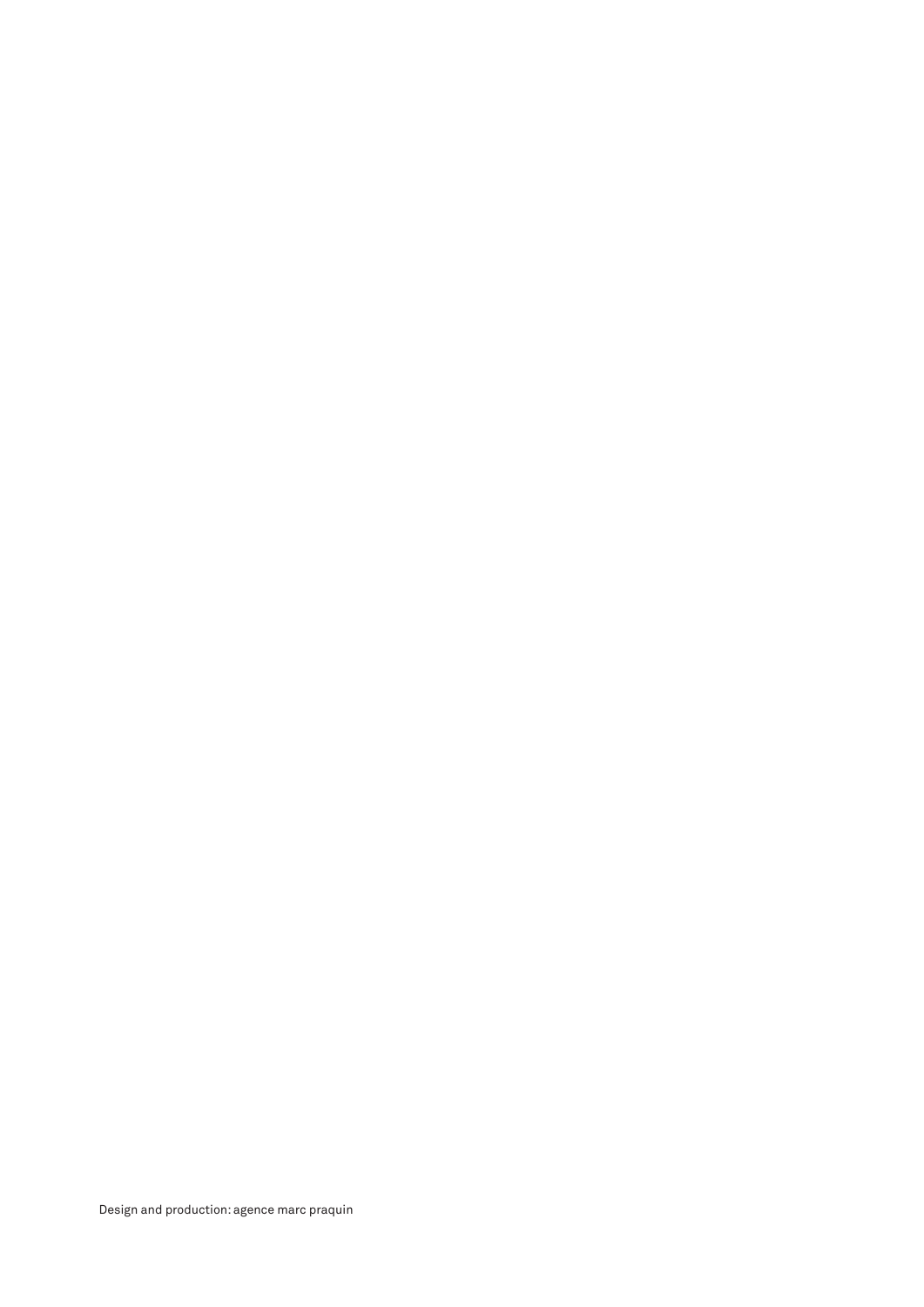Design and production: agence marc praquin